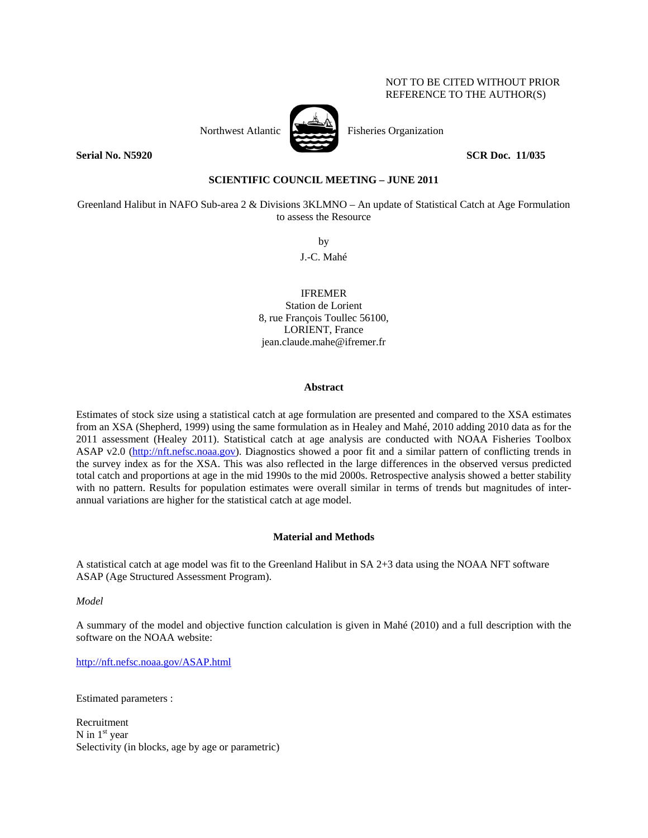## NOT TO BE CITED WITHOUT PRIOR REFERENCE TO THE AUTHOR(S)



Northwest Atlantic Fisheries Organization

**Serial No. N5920 SCR Doc. 11/035** 

# **SCIENTIFIC COUNCIL MEETING – JUNE 2011**

Greenland Halibut in NAFO Sub-area 2 & Divisions 3KLMNO – An update of Statistical Catch at Age Formulation to assess the Resource

by

J.-C. Mahé

IFREMER Station de Lorient 8, rue François Toullec 56100, LORIENT, France jean.claude.mahe@ifremer.fr

#### **Abstract**

Estimates of stock size using a statistical catch at age formulation are presented and compared to the XSA estimates from an XSA (Shepherd, 1999) using the same formulation as in Healey and Mahé, 2010 adding 2010 data as for the 2011 assessment (Healey 2011). Statistical catch at age analysis are conducted with NOAA Fisheries Toolbox ASAP v2.0 (http://nft.nefsc.noaa.gov). Diagnostics showed a poor fit and a similar pattern of conflicting trends in the survey index as for the XSA. This was also reflected in the large differences in the observed versus predicted total catch and proportions at age in the mid 1990s to the mid 2000s. Retrospective analysis showed a better stability with no pattern. Results for population estimates were overall similar in terms of trends but magnitudes of interannual variations are higher for the statistical catch at age model.

## **Material and Methods**

A statistical catch at age model was fit to the Greenland Halibut in SA 2+3 data using the NOAA NFT software ASAP (Age Structured Assessment Program).

*Model* 

A summary of the model and objective function calculation is given in Mahé (2010) and a full description with the software on the NOAA website:

http://nft.nefsc.noaa.gov/ASAP.html

Estimated parameters :

Recruitment N in  $1<sup>st</sup>$  year Selectivity (in blocks, age by age or parametric)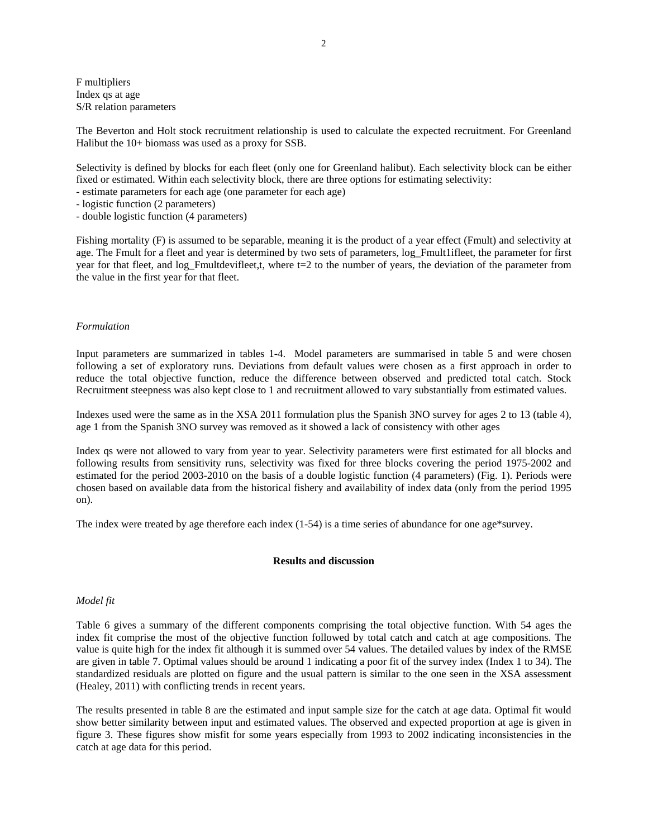F multipliers Index qs at age S/R relation parameters

The Beverton and Holt stock recruitment relationship is used to calculate the expected recruitment. For Greenland Halibut the 10+ biomass was used as a proxy for SSB.

Selectivity is defined by blocks for each fleet (only one for Greenland halibut). Each selectivity block can be either fixed or estimated. Within each selectivity block, there are three options for estimating selectivity:

- estimate parameters for each age (one parameter for each age)
- logistic function (2 parameters)
- double logistic function (4 parameters)

Fishing mortality (F) is assumed to be separable, meaning it is the product of a year effect (Fmult) and selectivity at age. The Fmult for a fleet and year is determined by two sets of parameters, log\_Fmult1ifleet, the parameter for first year for that fleet, and log Fmultdevifleet,t, where  $t=2$  to the number of years, the deviation of the parameter from the value in the first year for that fleet.

## *Formulation*

Input parameters are summarized in tables 1-4. Model parameters are summarised in table 5 and were chosen following a set of exploratory runs. Deviations from default values were chosen as a first approach in order to reduce the total objective function, reduce the difference between observed and predicted total catch. Stock Recruitment steepness was also kept close to 1 and recruitment allowed to vary substantially from estimated values.

Indexes used were the same as in the XSA 2011 formulation plus the Spanish 3NO survey for ages 2 to 13 (table 4), age 1 from the Spanish 3NO survey was removed as it showed a lack of consistency with other ages

Index qs were not allowed to vary from year to year. Selectivity parameters were first estimated for all blocks and following results from sensitivity runs, selectivity was fixed for three blocks covering the period 1975-2002 and estimated for the period 2003-2010 on the basis of a double logistic function (4 parameters) (Fig. 1). Periods were chosen based on available data from the historical fishery and availability of index data (only from the period 1995 on).

The index were treated by age therefore each index (1-54) is a time series of abundance for one age\*survey.

## **Results and discussion**

## *Model fit*

Table 6 gives a summary of the different components comprising the total objective function. With 54 ages the index fit comprise the most of the objective function followed by total catch and catch at age compositions. The value is quite high for the index fit although it is summed over 54 values. The detailed values by index of the RMSE are given in table 7. Optimal values should be around 1 indicating a poor fit of the survey index (Index 1 to 34). The standardized residuals are plotted on figure and the usual pattern is similar to the one seen in the XSA assessment (Healey, 2011) with conflicting trends in recent years.

The results presented in table 8 are the estimated and input sample size for the catch at age data. Optimal fit would show better similarity between input and estimated values. The observed and expected proportion at age is given in figure 3. These figures show misfit for some years especially from 1993 to 2002 indicating inconsistencies in the catch at age data for this period.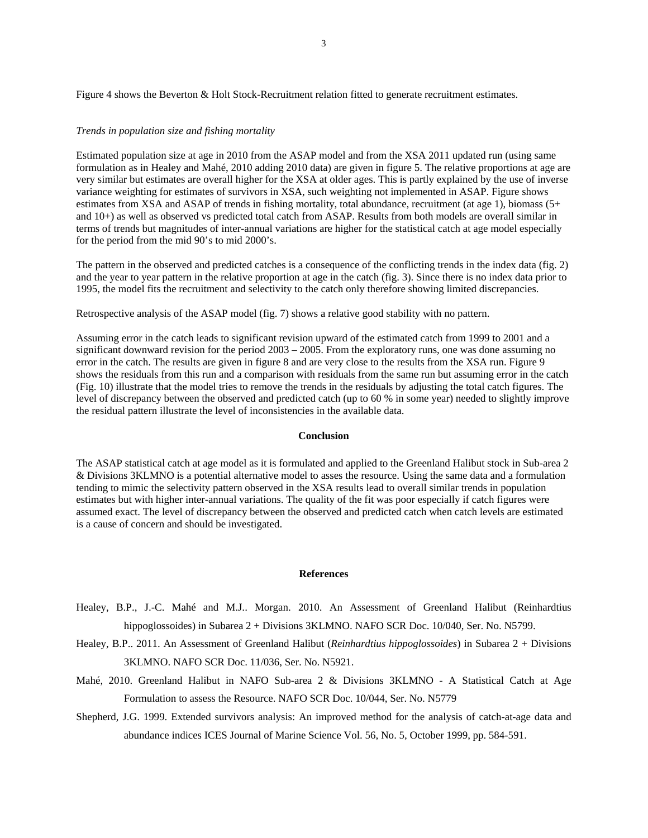Figure 4 shows the Beverton & Holt Stock-Recruitment relation fitted to generate recruitment estimates.

#### *Trends in population size and fishing mortality*

Estimated population size at age in 2010 from the ASAP model and from the XSA 2011 updated run (using same formulation as in Healey and Mahé, 2010 adding 2010 data) are given in figure 5. The relative proportions at age are very similar but estimates are overall higher for the XSA at older ages. This is partly explained by the use of inverse variance weighting for estimates of survivors in XSA, such weighting not implemented in ASAP. Figure shows estimates from XSA and ASAP of trends in fishing mortality, total abundance, recruitment (at age 1), biomass (5+ and 10+) as well as observed vs predicted total catch from ASAP. Results from both models are overall similar in terms of trends but magnitudes of inter-annual variations are higher for the statistical catch at age model especially for the period from the mid 90's to mid 2000's.

The pattern in the observed and predicted catches is a consequence of the conflicting trends in the index data (fig. 2) and the year to year pattern in the relative proportion at age in the catch (fig. 3). Since there is no index data prior to 1995, the model fits the recruitment and selectivity to the catch only therefore showing limited discrepancies.

Retrospective analysis of the ASAP model (fig. 7) shows a relative good stability with no pattern.

Assuming error in the catch leads to significant revision upward of the estimated catch from 1999 to 2001 and a significant downward revision for the period 2003 – 2005. From the exploratory runs, one was done assuming no error in the catch. The results are given in figure 8 and are very close to the results from the XSA run. Figure 9 shows the residuals from this run and a comparison with residuals from the same run but assuming error in the catch (Fig. 10) illustrate that the model tries to remove the trends in the residuals by adjusting the total catch figures. The level of discrepancy between the observed and predicted catch (up to 60 % in some year) needed to slightly improve the residual pattern illustrate the level of inconsistencies in the available data.

## **Conclusion**

The ASAP statistical catch at age model as it is formulated and applied to the Greenland Halibut stock in Sub-area 2 & Divisions 3KLMNO is a potential alternative model to asses the resource. Using the same data and a formulation tending to mimic the selectivity pattern observed in the XSA results lead to overall similar trends in population estimates but with higher inter-annual variations. The quality of the fit was poor especially if catch figures were assumed exact. The level of discrepancy between the observed and predicted catch when catch levels are estimated is a cause of concern and should be investigated.

#### **References**

- Healey, B.P., J.-C. Mahé and M.J.. Morgan. 2010. An Assessment of Greenland Halibut (Reinhardtius hippoglossoides) in Subarea 2 + Divisions 3KLMNO. NAFO SCR Doc. 10/040, Ser. No. N5799.
- Healey, B.P.. 2011. An Assessment of Greenland Halibut (*Reinhardtius hippoglossoides*) in Subarea 2 + Divisions 3KLMNO. NAFO SCR Doc. 11/036, Ser. No. N5921.
- Mahé, 2010. Greenland Halibut in NAFO Sub-area 2 & Divisions 3KLMNO A Statistical Catch at Age Formulation to assess the Resource. NAFO SCR Doc. 10/044, Ser. No. N5779
- Shepherd, J.G. 1999. Extended survivors analysis: An improved method for the analysis of catch-at-age data and abundance indices ICES Journal of Marine Science Vol. 56, No. 5, October 1999, pp. 584-591.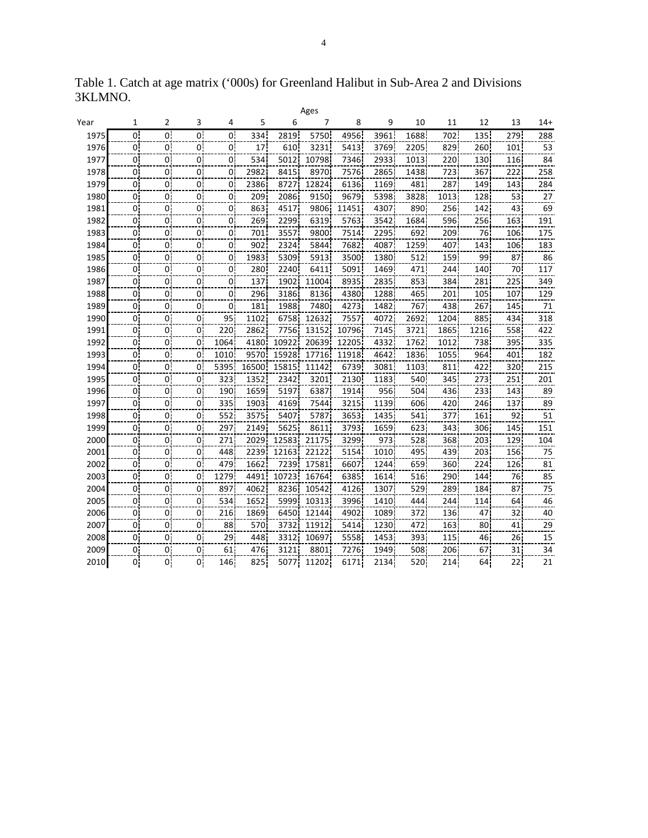|      |                |                |                |                |       |       | Ages  |       |      |      |      |      |     |                |
|------|----------------|----------------|----------------|----------------|-------|-------|-------|-------|------|------|------|------|-----|----------------|
| Year | 1              | 2              | 3              | 4              | 5     | 6     | 7     | 8     | 9    | 10   | 11   | 12   | 13  | $14+$          |
| 1975 | $\overline{0}$ | $\overline{0}$ | $\overline{0}$ | $\mathbf{0}$   | 334   | 2819  | 5750  | 4956  | 3961 | 1688 | 702  | 135  | 279 | 288            |
| 1976 | 0.             | 0              | $\mathbf{0}$   | 0              | 17    | 610   | 3231  | 5413  | 3769 | 2205 | 829  | 260  | 101 | 53             |
| 1977 | 0              | 0              | 0              | 0              | 534   | 5012  | 10798 | 7346  | 2933 | 1013 | 220  | 130  | 116 | 84             |
| 1978 | 0              | $\mathbf{0}$   | 0              | 0              | 2982  | 8415  | 8970  | 7576  | 2865 | 1438 | 723  | 367  | 222 | 258            |
| 1979 | 0.             | 01             | 0              | 0              | 2386  | 8727  | 12824 | 6136  | 1169 | 481  | 287  | 149  | 143 | 284            |
| 1980 | 0              | 0              | 0              | 0              | 209   | 2086  | 9150  | 9679  | 5398 | 3828 | 1013 | 128  | 53  | 27             |
| 1981 | $\overline{0}$ | $\overline{0}$ | $\mathbf{0}$   | 0              | 863   | 4517  | 9806  | 11451 | 4307 | 890  | 256  | 142  | 43  | 69             |
| 1982 | 0              | $\mathbf{0}$   | 0              | 0              | 269   | 2299  | 6319  | 5763  | 3542 | 1684 | 596  | 256  | 163 | 191            |
| 1983 | 0              | 0              | 0              | 0              | 701   | 3557  | 9800  | 7514  | 2295 | 692  | 209  | 76   | 106 | 175            |
| 1984 | 01             | 0              | 0              | 0              | 902   | 2324  | 5844  | 7682  | 4087 | 1259 | 407  | 143  | 106 | 183            |
| 1985 | 0¦             | $\overline{0}$ | 0              | 0              | 1983  | 5309  | 5913  | 3500  | 1380 | 512  | 159  | 99   | 87  | 86             |
| 1986 | $\overline{0}$ | $\overline{0}$ | $\overline{0}$ | 0              | 280   | 2240  | 6411  | 5091  | 1469 | 471  | 244  | 140  | 70  | 117            |
| 1987 | 0.             | 0              | 0              | 0              | 137   | 1902  | 11004 | 8935  | 2835 | 853  | 384  | 281  | 225 | 349            |
| 1988 | 0              | $\overline{0}$ | $\overline{0}$ | 0              | 296   | 3186  | 8136  | 4380  | 1288 | 465  | 201  | 105  | 107 | 129            |
| 1989 | 0              | 0              | $\overline{0}$ | $\overline{0}$ | 181   | 1988  | 7480  | 4273  | 1482 | 767  | 438  | 267  | 145 | 71             |
| 1990 | 0              | $\overline{0}$ | $\mathbf 0$    | 95             | 1102  | 6758  | 12632 | 7557  | 4072 | 2692 | 1204 | 885  | 434 | 318            |
| 1991 | 0              | 0              | $\mathbf{0}$   | 220            | 2862  | 7756  | 13152 | 10796 | 7145 | 3721 | 1865 | 1216 | 558 | 422            |
| 1992 | 0              | 0              | $\overline{0}$ | 1064           | 4180  | 10922 | 20639 | 12205 | 4332 | 1762 | 1012 | 738  | 395 | 335            |
| 1993 | 0              | 0              | $\overline{0}$ | 1010           | 9570  | 15928 | 17716 | 11918 | 4642 | 1836 | 1055 | 964  | 401 | 182            |
| 1994 | 0              | 0              | $\mathbf{0}$   | 5395           | 16500 | 15815 | 11142 | 6739  | 3081 | 1103 | 811  | 422  | 320 | 215            |
| 1995 | 0              | 0              | $\mathbf{0}$   | 323            | 1352  | 2342  | 3201  | 2130  | 1183 | 540  | 345  | 273  | 251 | 201            |
| 1996 | 0              | 0              | 0              | 190            | 1659  | 5197  | 6387  | 1914  | 956  | 504  | 436  | 233  | 143 | 89             |
| 1997 | 0              | 0              | 0              | 335            | 1903  | 4169  | 7544  | 3215  | 1139 | 606  | 420  | 246  | 137 | 89             |
| 1998 | 0              | 0              | $\overline{0}$ | 552            | 3575  | 5407  | 5787  | 3653  | 1435 | 541  | 377  | 161  | 92  | 51             |
| 1999 | 0.             | 0.             | 0              | 297            | 2149  | 5625  | 8611  | 3793  | 1659 | 623  | 343  | 306  | 145 | 151            |
| 2000 | 0.             | 0              | 0              | 271            | 2029  | 12583 | 21175 | 3299  | 973  | 528  | 368  | 203  | 129 | 104            |
| 2001 | 0.             | 01             | 0              | 448            | 2239  | 12163 | 22122 | 5154  | 1010 | 495  | 439  | 203  | 156 | $\frac{75}{1}$ |
| 2002 | 0              | 0              | 0              | 479            | 1662  | 7239  | 17581 | 6607  | 1244 | 659  | 360  | 224  | 126 | 81             |
| 2003 | 0.             | 0.             | 0              | 1279           | 4491  | 10723 | 16764 | 6385  | 1614 | 516  | 290  | 144  | 76  | 85             |
| 2004 | 0.             | 0.             | $\overline{0}$ | 897            | 4062  | 8236  | 10542 | 4126  | 1307 | 529  | 289  | 184  | 87  | $\frac{75}{2}$ |
| 2005 | $\overline{0}$ | 0.             | $\mathbf{0}$   | 534            | 1652  | 5999  | 10313 | 3996  | 1410 | 444  | 244  | 114  | 64  | 46             |
| 2006 | 0              | 0              | 0              | 216            | 1869  | 6450  | 12144 | 4902  | 1089 | 372  | 136  | 47   | 32  | 40             |
| 2007 | 0              | 0              | 0              | 88             | 570   | 3732  | 11912 | 5414  | 1230 | 472  | 163  | 80   | 41  | $\frac{29}{2}$ |
| 2008 | 0              | 0.             | 0              | 29             | 448   | 3312  | 10697 | 5558  | 1453 | 393  | 115  | 46   | 26  | 15             |
| 2009 | $\overline{0}$ | 0.             | 0              | 61             | 476   | 3121  | 8801  | 7276  | 1949 | 508  | 206  | 67   | 31  | 34             |
| 2010 | 0!             | 01             | 0              | 146            | 825   | 5077  | 11202 | 6171  | 2134 | 520  | 214  | 64   | 22  | 21             |

Table 1. Catch at age matrix ('000s) for Greenland Halibut in Sub-Area 2 and Divisions 3KLMNO.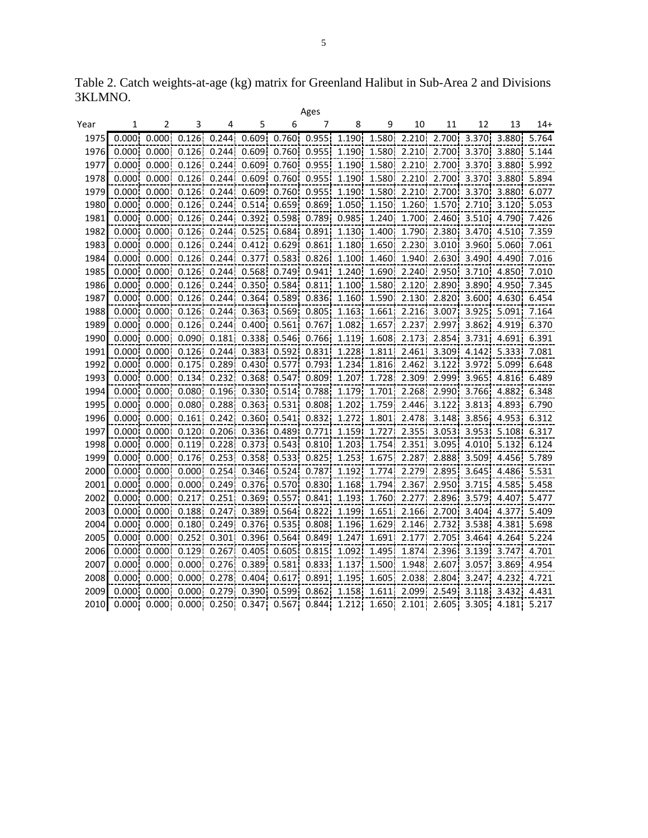|      |              |        |                                                                                                                         |        |                                                       |                 | Ages              |        |                 |                    |                   |       |                         |       |
|------|--------------|--------|-------------------------------------------------------------------------------------------------------------------------|--------|-------------------------------------------------------|-----------------|-------------------|--------|-----------------|--------------------|-------------------|-------|-------------------------|-------|
| Year | $\mathbf{1}$ | 2      | 3                                                                                                                       | 4      | 5                                                     | 6               | 7                 | 8      | 9               | 10                 | 11                | 12    | 13                      | $14+$ |
| 1975 | 0.0001       | 0.000  | 0.126                                                                                                                   | 0.244  | 0.609                                                 | 0.760           | 0.955             | 1.190  | 1.580           | 2.210              | 2.700             | 3.370 | 3.880                   | 5.764 |
| 1976 |              |        | $0.000$ $0.000$ $0.126$                                                                                                 |        | $0.244$ $0.609$ $0.760$ $0.955$                       |                 |                   |        | 1.190 1.580     |                    |                   |       | 2.210 2.700 3.370 3.880 | 5.144 |
| 1977 |              |        | $0.000$ : $0.000$ : $0.126$ :                                                                                           |        | $0.244$ $0.609$                                       |                 | 0.760 0.955       | 1.190  | 1.580           |                    | 2.210 2.700       | 3.370 | 3.880                   | 5.992 |
| 1978 | 0.0001       |        | $0.000$ $0.126$                                                                                                         | 0.244  | 0.609!                                                | $0.760$ $0.955$ |                   | 1.190  | 1.580           |                    | 2.210 2.700       | 3.370 | 3.880                   | 5.894 |
| 1979 | 0.000!       |        | $0.000$ $0.126$                                                                                                         |        | $0.244$ $0.609$                                       | 0.760 0.955     |                   |        | 1.190 1.580     |                    | 2.210 2.700 3.370 |       | 3.880i                  | 6.077 |
| 1980 | 0.0001       | 0.000  | 0.126                                                                                                                   | 0.244  | 0.514                                                 | 0.659           | 0.869             | 1.050  | 1.150           | 1.260              | 1.570             | 2.710 | 3.120                   | 5.053 |
| 1981 | 0.000!       |        | $0.000 \quad 0.126$                                                                                                     | 0.244  | 0.392                                                 | 0.598           | 0.789             | 0.985! | 1.240           |                    | 1.700 2.460       | 3.510 | 4.790                   | 7.426 |
| 1982 | 0.0001       | 0.000  | 0.126                                                                                                                   | 0.244  | 0.525                                                 | 0.684           | 0.891             | 1.130  | 1.400           | 1.790              | 2.380             | 3.470 | 4.510                   | 7.359 |
| 1983 | 0.0001       | 0.0001 | 0.126                                                                                                                   | 0.244  | 0.412                                                 | 0.629           | 0.861             | 1.180  | 1.650           | 2.230              | 3.010             | 3.960 | 5.060                   | 7.061 |
| 1984 | 0.0001       |        | $0.000$ $0.126$                                                                                                         | 0.244  | 0.377                                                 | 0.583           | 0.826             |        | 1.100 1.460     |                    | 1.940 2.630 3.490 |       | 4.490                   | 7.016 |
| 1985 | 0.0001       |        | $0.000$ , $0.126$                                                                                                       | 0.244  | 0.568                                                 | 0.7491          | 0.941             | 1.240  | 1.690           |                    | 2.240 2.950 3.710 |       | 4.850                   | 7.010 |
| 1986 | 0.000!       |        | $0.000 \quad 0.126$                                                                                                     | 0.244  | 0.350                                                 | 0.584           | 0.811             | 1.100! | 1.580           | 2.120 2.890 3.890  |                   |       | 4.950                   | 7.345 |
| 1987 | 0.000!       | 0.0001 | 0.126                                                                                                                   | 0.244  | 0.364                                                 | 0.589           | 0.836             | 1.160  | 1.590           | 2.130 <sup>1</sup> | 2.820             | 3.600 | 4.630                   | 6.454 |
| 1988 | 0.0001       |        | $0.0001$ $0.126$                                                                                                        |        | $0.244$ $0.363$                                       |                 | $0.569$ , $0.805$ |        | 1.163  1.661    | 2.216 3.007 3.925  |                   |       | 5.091                   | 7.164 |
| 1989 |              |        | $0.000$ $0.000$ $0.126$ $0.244$ $0.400$                                                                                 |        |                                                       |                 | $0.561$ 0.767     |        | $1.082$ $1.657$ | 2.237 2.997 3.862  |                   |       | 4.919 6.370             |       |
| 1990 |              |        | 0.000 0.000 0.090 0.181 0.338 0.546 0.766 1.119 1.608 2.173 2.854 3.731                                                 |        |                                                       |                 |                   |        |                 |                    |                   |       | 4.691 6.391             |       |
| 1991 |              |        | $0.000$ , $0.000$ , $0.126$ , $0.244$ , $0.383$ , $0.592$ , $0.831$                                                     |        |                                                       |                 |                   |        | 1.228 1.811     | 2.461 3.309 4.142  |                   |       | 5.333 7.081             |       |
| 1992 |              |        | $0.000$ $0.000$ $0.175$                                                                                                 |        | 0.289 0.430 0.577 0.793 1.234 1.816 2.462 3.122 3.972 |                 |                   |        |                 |                    |                   |       | 5.099 6.648             |       |
| 1993 |              |        | 0.000 0.000 0.134 0.232 0.368 0.547 0.809 1.207 1.728 2.309 2.999 3.965                                                 |        |                                                       |                 |                   |        |                 |                    |                   |       | 4.816 6.489             |       |
| 1994 |              |        | $0.000$ ; $0.000$ ; $0.080$ ; $0.196$ ; $0.330$ ; $0.514$ ; $0.788$ ; $1.179$ ; $1.701$ ; $2.268$ ; $2.990$ ; $3.766$ ; |        |                                                       |                 |                   |        |                 |                    |                   |       | 4.882                   | 6.348 |
| 1995 |              |        | $0.000$ $0.000$ $0.080$                                                                                                 |        | $0.288$ $0.363$                                       |                 | $0.531$ $0.808$   |        | 1.202, 1.759    |                    | 2.446 3.122 3.813 |       | 4.893                   | 6.790 |
| 1996 |              |        | $0.000$ $0.000$ $0.161$                                                                                                 |        | 0.242 0.360 0.541 0.832 1.272 1.801 2.478 3.148 3.856 |                 |                   |        |                 |                    |                   |       | 4.953                   | 6.312 |
| 1997 |              |        | $0.000$ ; $0.000$ ; $0.120$ ;                                                                                           | 0.206  | 0.336                                                 | 0.4891          | 0.771             | 1.159  | 1.727           | 2.3551             | 3.053             | 3.953 | 5.108                   | 6.317 |
| 1998 | 0.000        |        | 0.000  0.119                                                                                                            | 0.2281 | 0.373                                                 | 0.543           | 0.810             | 1.2031 | 1.754           | 2.351              | 3.095             | 4.010 | 5.132                   | 6.124 |
| 1999 |              |        | $0.000$ ; $0.000$ ; $0.176$ ;                                                                                           | 0.2531 | 0.358                                                 | 0.5331          | 0.825             | 1.253  | 1.675           | 2.287              | 2.888             | 3.509 | 4.456                   | 5.789 |
| 2000 |              |        | $0.000 \quad 0.000 \quad 0.000$                                                                                         | 0.254  | 0.346                                                 |                 | 0.524 0.787       | 1.192  | 1.774           | 2.279              | 2.895             | 3.645 | 4.486                   | 5.531 |
| 2001 | 0.0001       |        | $0.000!$ $0.000!$                                                                                                       | 0.2491 | 0.376                                                 |                 | $0.570$ , $0.830$ | 1.168  | 1.794           | 2.367              | 2.950             | 3.715 | 4.585                   | 5.458 |
| 2002 | 0.000!       |        | $0.000$ , $0.217$                                                                                                       | 0.251  | 0.369                                                 | 0.557           | 0.841             |        | 1.193 1.760     |                    | 2.277 2.896       | 3.579 | 4.407                   | 5.477 |
| 2003 | 0.0001       |        | $0.000$ $0.188$                                                                                                         |        | $0.247$ $0.389$                                       |                 | $0.564$ , $0.822$ |        | 1.199 1.651     |                    | 2.166 2.700       | 3.404 | 4.377                   | 5.409 |
| 2004 |              |        | $0.000$ : $0.000$ : $0.180$ :                                                                                           |        | $0.249 \quad 0.376$                                   |                 | $0.535$ $0.808$   |        | 1.196 1.629     |                    | 2.146 2.732       | 3.538 | 4.381                   | 5.698 |
| 2005 |              |        | $0.000$ $0.000$ $0.252$                                                                                                 | 0.301  | 0.396                                                 | 0.564           | 0.849             | 1.247  | 1.691           | 2.177              | 2.705             | 3.464 | 4.264                   | 5.224 |
| 2006 | 0.0001       |        | $0.000$ : $0.129$                                                                                                       | 0.267  | 0.405                                                 | 0.6051          | 0.815             | 1.092  | 1.495           |                    | 1.874 2.396 3.139 |       | 3.747                   | 4.701 |
| 2007 | 0.000        | 0.000  | 0.000                                                                                                                   | 0.276  | 0.389                                                 | 0.581           | 0.833             | 1.137  | 1.500           | 1.948              | 2.607             | 3.057 | 3.869                   | 4.954 |
| 2008 | 0.0001       | 0.000! | 0.000                                                                                                                   | 0.2781 | 0.404                                                 | 0.617           | 0.891             | 1.195  | 1.605           | 2.038              | 2.804             | 3.247 | 4.232                   | 4.721 |
| 2009 | 0.000!       | 0.000  | 0.000!                                                                                                                  | 0.279  | 0.390                                                 | 0.599           | 0.862             | 1.158  | 1.611           | 2.099              | 2.549             | 3.118 | 3.432                   | 4.431 |
| 2010 | 0.0001       |        | $0.0001$ $0.0001$                                                                                                       |        | $0.250$ $0.347$                                       | 0.567           | 0.844             |        | 1.212 1.650     | 2.101              | 2.605             | 3.305 | 4.181                   | 5.217 |

Table 2. Catch weights-at-age (kg) matrix for Greenland Halibut in Sub-Area 2 and Divisions 3KLMNO.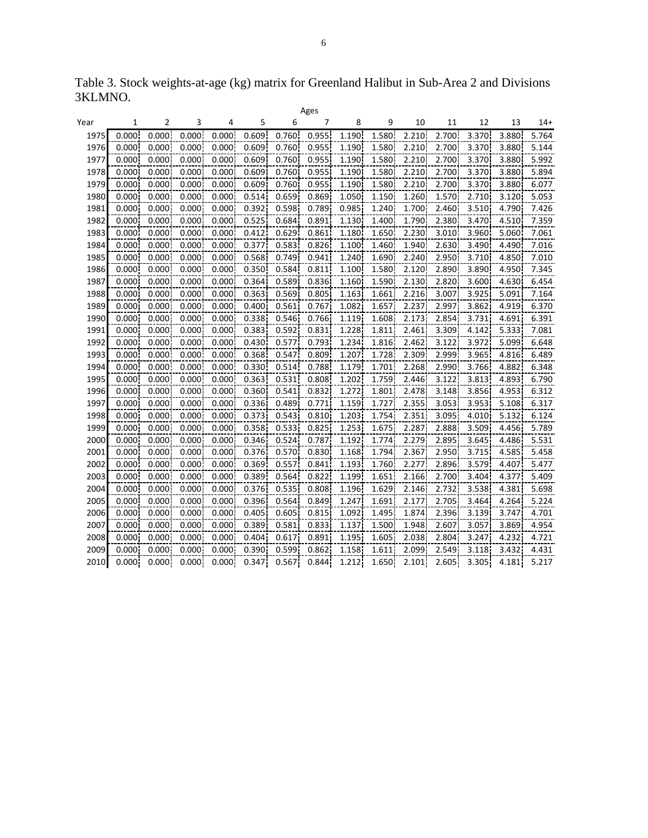| Ages |       |       |       |       |       |       |       |       |       |       |       |       |       |       |
|------|-------|-------|-------|-------|-------|-------|-------|-------|-------|-------|-------|-------|-------|-------|
| Year | 1     | 2     | 3     | 4     | 5     | 6     | 7     | 8     | 9     | 10    | 11    | 12    | 13    | $14+$ |
| 1975 | 0.000 | 0.000 | 0.000 | 0.000 | 0.609 | 0.760 | 0.955 | 1.190 | 1.580 | 2.210 | 2.700 | 3.370 | 3.880 | 5.764 |
| 1976 | 0.000 | 0.000 | 0.000 | 0.000 | 0.609 | 0.760 | 0.955 | 1.190 | 1.580 | 2.210 | 2.700 | 3.370 | 3.880 | 5.144 |
| 1977 | 0.000 | 0.000 | 0.000 | 0.000 | 0.609 | 0.760 | 0.955 | 1.190 | 1.580 | 2.210 | 2.700 | 3.370 | 3.880 | 5.992 |
| 1978 | 0.000 | 0.000 | 0.000 | 0.000 | 0.609 | 0.760 | 0.955 | 1.190 | 1.580 | 2.210 | 2.700 | 3.370 | 3.880 | 5.894 |
| 1979 | 0.000 | 0.000 | 0.000 | 0.000 | 0.609 | 0.760 | 0.955 | 1.190 | 1.580 | 2.210 | 2.700 | 3.370 | 3.880 | 6.077 |
| 1980 | 0.000 | 0.000 | 0.000 | 0.000 | 0.514 | 0.659 | 0.869 | 1.050 | 1.150 | 1.260 | 1.570 | 2.710 | 3.120 | 5.053 |
| 1981 | 0.000 | 0.000 | 0.000 | 0.000 | 0.392 | 0.598 | 0.789 | 0.985 | 1.240 | 1.700 | 2.460 | 3.510 | 4.790 | 7.426 |
| 1982 | 0.000 | 0.000 | 0.000 | 0.000 | 0.525 | 0.684 | 0.891 | 1.130 | 1.400 | 1.790 | 2.380 | 3.470 | 4.510 | 7.359 |
| 1983 | 0.000 | 0.000 | 0.000 | 0.000 | 0.412 | 0.629 | 0.861 | 1.180 | 1.650 | 2.230 | 3.010 | 3.960 | 5.060 | 7.061 |
| 1984 | 0.000 | 0.000 | 0.000 | 0.000 | 0.377 | 0.583 | 0.826 | 1.100 | 1.460 | 1.940 | 2.630 | 3.490 | 4.490 | 7.016 |
| 1985 | 0.000 | 0.000 | 0.000 | 0.000 | 0.568 | 0.749 | 0.941 | 1.240 | 1.690 | 2.240 | 2.950 | 3.710 | 4.850 | 7.010 |
| 1986 | 0.000 | 0.000 | 0.000 | 0.000 | 0.350 | 0.584 | 0.811 | 1.100 | 1.580 | 2.120 | 2.890 | 3.890 | 4.950 | 7.345 |
| 1987 | 0.000 | 0.000 | 0.000 | 0.000 | 0.364 | 0.589 | 0.836 | 1.160 | 1.590 | 2.130 | 2.820 | 3.600 | 4.630 | 6.454 |
| 1988 | 0.000 | 0.000 | 0.000 | 0.000 | 0.363 | 0.569 | 0.805 | 1.163 | 1.661 | 2.216 | 3.007 | 3.925 | 5.091 | 7.164 |
| 1989 | 0.000 | 0.000 | 0.000 | 0.000 | 0.400 | 0.561 | 0.767 | 1.082 | 1.657 | 2.237 | 2.997 | 3.862 | 4.919 | 6.370 |
| 1990 | 0.000 | 0.000 | 0.000 | 0.000 | 0.338 | 0.546 | 0.766 | 1.119 | 1.608 | 2.173 | 2.854 | 3.731 | 4.691 | 6.391 |
| 1991 | 0.000 | 0.000 | 0.000 | 0.000 | 0.383 | 0.592 | 0.831 | 1.228 | 1.811 | 2.461 | 3.309 | 4.142 | 5.333 | 7.081 |
| 1992 | 0.000 | 0.000 | 0.000 | 0.000 | 0.430 | 0.577 | 0.793 | 1.234 | 1.816 | 2.462 | 3.122 | 3.972 | 5.099 | 6.648 |
| 1993 | 0.000 | 0.000 | 0.000 | 0.000 | 0.368 | 0.547 | 0.809 | 1.207 | 1.728 | 2.309 | 2.999 | 3.965 | 4.816 | 6.489 |
| 1994 | 0.000 | 0.000 | 0.000 | 0.000 | 0.330 | 0.514 | 0.788 | 1.179 | 1.701 | 2.268 | 2.990 | 3.766 | 4.882 | 6.348 |
| 1995 | 0.000 | 0.000 | 0.000 | 0.000 | 0.363 | 0.531 | 0.808 | 1.202 | 1.759 | 2.446 | 3.122 | 3.813 | 4.893 | 6.790 |
| 1996 | 0.000 | 0.000 | 0.000 | 0.000 | 0.360 | 0.541 | 0.832 | 1.272 | 1.801 | 2.478 | 3.148 | 3.856 | 4.953 | 6.312 |
| 1997 | 0.000 | 0.000 | 0.000 | 0.000 | 0.336 | 0.489 | 0.771 | 1.159 | 1.727 | 2.355 | 3.053 | 3.953 | 5.108 | 6.317 |
| 1998 | 0.000 | 0.000 | 0.000 | 0.000 | 0.373 | 0.543 | 0.810 | 1.203 | 1.754 | 2.351 | 3.095 | 4.010 | 5.132 | 6.124 |
| 1999 | 0.000 | 0.000 | 0.000 | 0.000 | 0.358 | 0.533 | 0.825 | 1.253 | 1.675 | 2.287 | 2.888 | 3.509 | 4.456 | 5.789 |
| 2000 | 0.000 | 0.000 | 0.000 | 0.000 | 0.346 | 0.524 | 0.787 | 1.192 | 1.774 | 2.279 | 2.895 | 3.645 | 4.486 | 5.531 |
| 2001 | 0.000 | 0.000 | 0.000 | 0.000 | 0.376 | 0.570 | 0.830 | 1.168 | 1.794 | 2.367 | 2.950 | 3.715 | 4.585 | 5.458 |
| 2002 | 0.000 | 0.000 | 0.000 | 0.000 | 0.369 | 0.557 | 0.841 | 1.193 | 1.760 | 2.277 | 2.896 | 3.579 | 4.407 | 5.477 |
| 2003 | 0.000 | 0.000 | 0.000 | 0.000 | 0.389 | 0.564 | 0.822 | 1.199 | 1.651 | 2.166 | 2.700 | 3.404 | 4.377 | 5.409 |
| 2004 | 0.000 | 0.000 | 0.000 | 0.000 | 0.376 | 0.535 | 0.808 | 1.196 | 1.629 | 2.146 | 2.732 | 3.538 | 4.381 | 5.698 |
| 2005 | 0.000 | 0.000 | 0.000 | 0.000 | 0.396 | 0.564 | 0.849 | 1.247 | 1.691 | 2.177 | 2.705 | 3.464 | 4.264 | 5.224 |
| 2006 | 0.000 | 0.000 | 0.000 | 0.000 | 0.405 | 0.605 | 0.815 | 1.092 | 1.495 | 1.874 | 2.396 | 3.139 | 3.747 | 4.701 |
| 2007 | 0.000 | 0.000 | 0.000 | 0.000 | 0.389 | 0.581 | 0.833 | 1.137 | 1.500 | 1.948 | 2.607 | 3.057 | 3.869 | 4.954 |
| 2008 | 0.000 | 0.000 | 0.000 | 0.000 | 0.404 | 0.617 | 0.891 | 1.195 | 1.605 | 2.038 | 2.804 | 3.247 | 4.232 | 4.721 |
| 2009 | 0.000 | 0.000 | 0.000 | 0.000 | 0.390 | 0.599 | 0.862 | 1.158 | 1.611 | 2.099 | 2.549 | 3.118 | 3.432 | 4.431 |
| 2010 | 0.000 | 0.000 | 0.000 | 0.000 | 0.347 | 0.567 | 0.844 | 1.212 | 1.650 | 2.101 | 2.605 | 3.305 | 4.181 | 5.217 |

Table 3. Stock weights-at-age (kg) matrix for Greenland Halibut in Sub-Area 2 and Divisions 3KLMNO.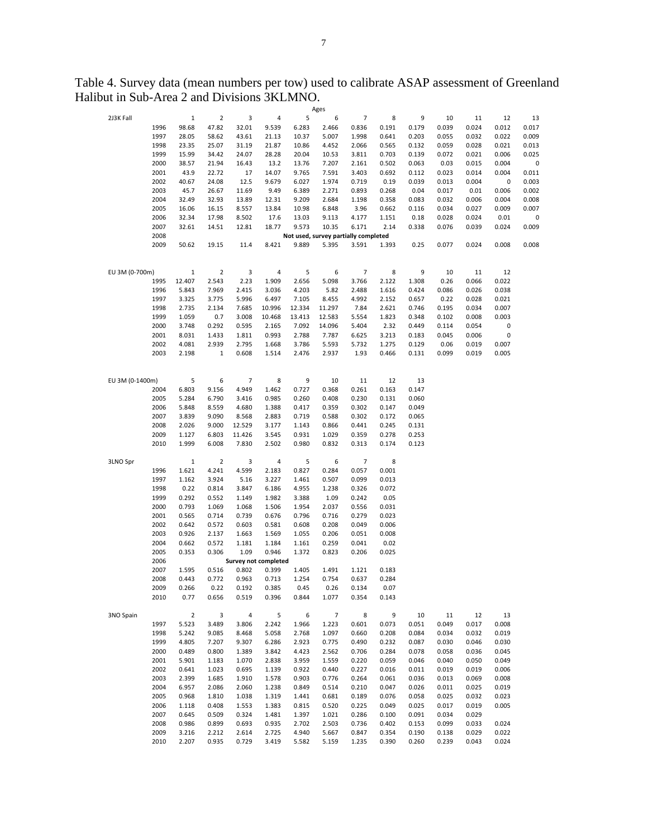Table 4. Survey data (mean numbers per tow) used to calibrate ASAP assessment of Greenland Halibut in Sub-Area 2 and Divisions 3KLMNO.

|           |                 |              |                |                |                             |        | Ages                                 |       |       |       |       |       |           |       |
|-----------|-----------------|--------------|----------------|----------------|-----------------------------|--------|--------------------------------------|-------|-------|-------|-------|-------|-----------|-------|
| 2J3K Fall |                 | $\mathbf{1}$ | $\mathbf 2$    | 3              | 4                           | 5      | 6                                    | 7     | 8     | 9     | 10    | 11    | 12        | 13    |
|           | 1996            | 98.68        | 47.82          | 32.01          | 9.539                       | 6.283  | 2.466                                | 0.836 | 0.191 | 0.179 | 0.039 | 0.024 | 0.012     | 0.017 |
|           | 1997            | 28.05        | 58.62          | 43.61          | 21.13                       | 10.37  | 5.007                                | 1.998 | 0.641 | 0.203 | 0.055 | 0.032 | 0.022     | 0.009 |
|           | 1998            | 23.35        | 25.07          | 31.19          | 21.87                       | 10.86  | 4.452                                | 2.066 | 0.565 | 0.132 | 0.059 | 0.028 | 0.021     | 0.013 |
|           | 1999            | 15.99        | 34.42          | 24.07          | 28.28                       |        |                                      |       |       | 0.139 | 0.072 | 0.021 | 0.006     | 0.025 |
|           |                 |              |                |                |                             | 20.04  | 10.53                                | 3.811 | 0.703 |       |       |       |           |       |
|           | 2000            | 38.57        | 21.94          | 16.43          | 13.2                        | 13.76  | 7.207                                | 2.161 | 0.502 | 0.063 | 0.03  | 0.015 | 0.004     | 0     |
|           | 2001            | 43.9         | 22.72          | 17             | 14.07                       | 9.765  | 7.591                                | 3.403 | 0.692 | 0.112 | 0.023 | 0.014 | 0.004     | 0.011 |
|           | 2002            | 40.67        | 24.08          | 12.5           | 9.679                       | 6.027  | 1.974                                | 0.719 | 0.19  | 0.039 | 0.013 | 0.004 | 0         | 0.003 |
|           | 2003            | 45.7         | 26.67          | 11.69          | 9.49                        | 6.389  | 2.271                                | 0.893 | 0.268 | 0.04  | 0.017 | 0.01  | 0.006     | 0.002 |
|           | 2004            | 32.49        | 32.93          | 13.89          | 12.31                       | 9.209  | 2.684                                | 1.198 | 0.358 | 0.083 | 0.032 | 0.006 | 0.004     | 0.008 |
|           | 2005            | 16.06        | 16.15          | 8.557          | 13.84                       | 10.98  | 6.848                                | 3.96  | 0.662 | 0.116 | 0.034 | 0.027 | 0.009     | 0.007 |
|           | 2006            | 32.34        | 17.98          | 8.502          | 17.6                        | 13.03  | 9.113                                | 4.177 | 1.151 | 0.18  | 0.028 | 0.024 | 0.01      | 0     |
|           | 2007            | 32.61        | 14.51          | 12.81          | 18.77                       | 9.573  | 10.35                                | 6.171 | 2.14  | 0.338 | 0.076 | 0.039 | 0.024     | 0.009 |
|           | 2008            |              |                |                |                             |        | Not used, survey partially completed |       |       |       |       |       |           |       |
|           | 2009            | 50.62        | 19.15          | 11.4           | 8.421                       | 9.889  | 5.395                                | 3.591 | 1.393 | 0.25  | 0.077 | 0.024 | 0.008     | 0.008 |
|           |                 |              |                |                |                             |        |                                      |       |       |       |       |       |           |       |
|           |                 |              |                |                |                             |        |                                      |       |       |       |       |       |           |       |
|           | EU 3M (0-700m)  | $\mathbf{1}$ | $\overline{2}$ | 3              | 4                           | 5      | 6                                    | 7     | 8     | 9     | 10    | 11    | 12        |       |
|           | 1995            | 12.407       | 2.543          | 2.23           | 1.909                       | 2.656  | 5.098                                | 3.766 | 2.122 | 1.308 | 0.26  | 0.066 | 0.022     |       |
|           | 1996            | 5.843        | 7.969          | 2.415          | 3.036                       | 4.203  | 5.82                                 | 2.488 | 1.616 | 0.424 | 0.086 | 0.026 | 0.038     |       |
|           | 1997            | 3.325        | 3.775          | 5.996          | 6.497                       | 7.105  | 8.455                                | 4.992 | 2.152 | 0.657 | 0.22  | 0.028 | 0.021     |       |
|           |                 |              |                |                |                             |        |                                      |       |       |       |       |       |           |       |
|           | 1998            | 2.735        | 2.134          | 7.685          | 10.996                      | 12.334 | 11.297                               | 7.84  | 2.621 | 0.746 | 0.195 | 0.034 | 0.007     |       |
|           | 1999            | 1.059        | 0.7            | 3.008          | 10.468                      | 13.413 | 12.583                               | 5.554 | 1.823 | 0.348 | 0.102 | 0.008 | 0.003     |       |
|           | 2000            | 3.748        | 0.292          | 0.595          | 2.165                       | 7.092  | 14.096                               | 5.404 | 2.32  | 0.449 | 0.114 | 0.054 | $\pmb{0}$ |       |
|           | 2001            | 8.031        | 1.433          | 1.811          | 0.993                       | 2.788  | 7.787                                | 6.625 | 3.213 | 0.183 | 0.045 | 0.006 | 0         |       |
|           | 2002            | 4.081        | 2.939          | 2.795          | 1.668                       | 3.786  | 5.593                                | 5.732 | 1.275 | 0.129 | 0.06  | 0.019 | 0.007     |       |
|           | 2003            | 2.198        | $\mathbf 1$    | 0.608          | 1.514                       | 2.476  | 2.937                                | 1.93  | 0.466 | 0.131 | 0.099 | 0.019 | 0.005     |       |
|           |                 |              |                |                |                             |        |                                      |       |       |       |       |       |           |       |
|           |                 |              |                |                |                             |        |                                      |       |       |       |       |       |           |       |
|           | EU 3M (0-1400m) | 5            | 6              | $\overline{7}$ | 8                           | 9      | 10                                   | 11    | 12    | 13    |       |       |           |       |
|           | 2004            | 6.803        | 9.156          | 4.949          | 1.462                       | 0.727  | 0.368                                | 0.261 | 0.163 | 0.147 |       |       |           |       |
|           | 2005            | 5.284        | 6.790          | 3.416          | 0.985                       | 0.260  | 0.408                                | 0.230 | 0.131 | 0.060 |       |       |           |       |
|           | 2006            | 5.848        | 8.559          | 4.680          | 1.388                       | 0.417  | 0.359                                | 0.302 | 0.147 | 0.049 |       |       |           |       |
|           | 2007            | 3.839        | 9.090          | 8.568          | 2.883                       | 0.719  | 0.588                                | 0.302 | 0.172 | 0.065 |       |       |           |       |
|           | 2008            | 2.026        | 9.000          | 12.529         | 3.177                       | 1.143  | 0.866                                | 0.441 | 0.245 | 0.131 |       |       |           |       |
|           | 2009            | 1.127        | 6.803          | 11.426         | 3.545                       | 0.931  | 1.029                                | 0.359 | 0.278 | 0.253 |       |       |           |       |
|           | 2010            | 1.999        | 6.008          | 7.830          | 2.502                       | 0.980  | 0.832                                | 0.313 | 0.174 | 0.123 |       |       |           |       |
|           |                 |              |                |                |                             |        |                                      |       |       |       |       |       |           |       |
| 3LNO Spr  |                 | $\mathbf 1$  | $\overline{2}$ | 3              | $\overline{4}$              | 5      | 6                                    | 7     | 8     |       |       |       |           |       |
|           | 1996            | 1.621        | 4.241          | 4.599          | 2.183                       |        | 0.284                                | 0.057 |       |       |       |       |           |       |
|           |                 |              |                |                |                             | 0.827  |                                      |       | 0.001 |       |       |       |           |       |
|           | 1997            | 1.162        | 3.924          | 5.16           | 3.227                       | 1.461  | 0.507                                | 0.099 | 0.013 |       |       |       |           |       |
|           | 1998            | 0.22         | 0.814          | 3.847          | 6.186                       | 4.955  | 1.238                                | 0.326 | 0.072 |       |       |       |           |       |
|           | 1999            | 0.292        | 0.552          | 1.149          | 1.982                       | 3.388  | 1.09                                 | 0.242 | 0.05  |       |       |       |           |       |
|           | 2000            | 0.793        | 1.069          | 1.068          | 1.506                       | 1.954  | 2.037                                | 0.556 | 0.031 |       |       |       |           |       |
|           | 2001            | 0.565        | 0.714          | 0.739          | 0.676                       | 0.796  | 0.716                                | 0.279 | 0.023 |       |       |       |           |       |
|           | 2002            | 0.642        | 0.572          | 0.603          | 0.581                       | 0.608  | 0.208                                | 0.049 | 0.006 |       |       |       |           |       |
|           | 2003            | 0.926        | 2.137          | 1.663          | 1.569                       | 1.055  | 0.206                                | 0.051 | 0.008 |       |       |       |           |       |
|           | 2004            | 0.662        | 0.572          | 1.181          | 1.184                       | 1.161  | 0.259                                | 0.041 | 0.02  |       |       |       |           |       |
|           | 2005            | 0.353        | 0.306          | 1.09           | 0.946                       | 1.372  | 0.823                                | 0.206 | 0.025 |       |       |       |           |       |
|           | 2006            |              |                |                | <b>Survey not completed</b> |        |                                      |       |       |       |       |       |           |       |
|           | 2007            | 1.595        | 0.516          | 0.802          | 0.399                       | 1.405  | 1.491                                | 1.121 | 0.183 |       |       |       |           |       |
|           | 2008            | 0.443        | 0.772          | 0.963          | 0.713                       | 1.254  | 0.754                                | 0.637 | 0.284 |       |       |       |           |       |
|           | 2009            | 0.266        | 0.22           | 0.192          | 0.385                       | 0.45   | 0.26                                 | 0.134 | 0.07  |       |       |       |           |       |
|           | 2010            | 0.77         | 0.656          | 0.519          | 0.396                       | 0.844  | 1.077                                | 0.354 | 0.143 |       |       |       |           |       |
|           |                 |              |                |                |                             |        |                                      |       |       |       |       |       |           |       |
| 3NO Spain |                 | $\mathbf 2$  | 3              | $\overline{4}$ | 5                           | 6      | $\overline{7}$                       | 8     | 9     | 10    | 11    | 12    | 13        |       |
|           | 1997            | 5.523        | 3.489          | 3.806          | 2.242                       | 1.966  | 1.223                                | 0.601 | 0.073 | 0.051 | 0.049 | 0.017 | 0.008     |       |
|           | 1998            | 5.242        | 9.085          | 8.468          | 5.058                       |        | 1.097                                |       | 0.208 | 0.084 | 0.034 | 0.032 | 0.019     |       |
|           |                 |              |                |                |                             | 2.768  |                                      | 0.660 |       |       |       |       |           |       |
|           | 1999            | 4.805        | 7.207          | 9.307          | 6.286                       | 2.923  | 0.775                                | 0.490 | 0.232 | 0.087 | 0.030 | 0.046 | 0.030     |       |
|           | 2000            | 0.489        | 0.800          | 1.389          | 3.842                       | 4.423  | 2.562                                | 0.706 | 0.284 | 0.078 | 0.058 | 0.036 | 0.045     |       |
|           | 2001            | 5.901        | 1.183          | 1.070          | 2.838                       | 3.959  | 1.559                                | 0.220 | 0.059 | 0.046 | 0.040 | 0.050 | 0.049     |       |
|           | 2002            | 0.641        | 1.023          | 0.695          | 1.139                       | 0.922  | 0.440                                | 0.227 | 0.016 | 0.011 | 0.019 | 0.019 | 0.006     |       |
|           | 2003            | 2.399        | 1.685          | 1.910          | 1.578                       | 0.903  | 0.776                                | 0.264 | 0.061 | 0.036 | 0.013 | 0.069 | 0.008     |       |
|           | 2004            | 6.957        | 2.086          | 2.060          | 1.238                       | 0.849  | 0.514                                | 0.210 | 0.047 | 0.026 | 0.011 | 0.025 | 0.019     |       |
|           | 2005            | 0.968        | 1.810          | 1.038          | 1.319                       | 1.441  | 0.681                                | 0.189 | 0.076 | 0.058 | 0.025 | 0.032 | 0.023     |       |
|           | 2006            | 1.118        | 0.408          | 1.553          | 1.383                       | 0.815  | 0.520                                | 0.225 | 0.049 | 0.025 | 0.017 | 0.019 | 0.005     |       |
|           | 2007            | 0.645        | 0.509          | 0.324          | 1.481                       | 1.397  | 1.021                                | 0.286 | 0.100 | 0.091 | 0.034 | 0.029 |           |       |
|           | 2008            | 0.986        | 0.899          | 0.693          | 0.935                       | 2.702  | 2.503                                | 0.736 | 0.402 | 0.153 | 0.099 | 0.033 | 0.024     |       |
|           | 2009            | 3.216        | 2.212          | 2.614          | 2.725                       | 4.940  | 5.667                                | 0.847 | 0.354 | 0.190 | 0.138 | 0.029 | 0.022     |       |
|           | 2010            | 2.207        | 0.935          | 0.729          | 3.419                       | 5.582  | 5.159                                | 1.235 | 0.390 | 0.260 | 0.239 | 0.043 | 0.024     |       |
|           |                 |              |                |                |                             |        |                                      |       |       |       |       |       |           |       |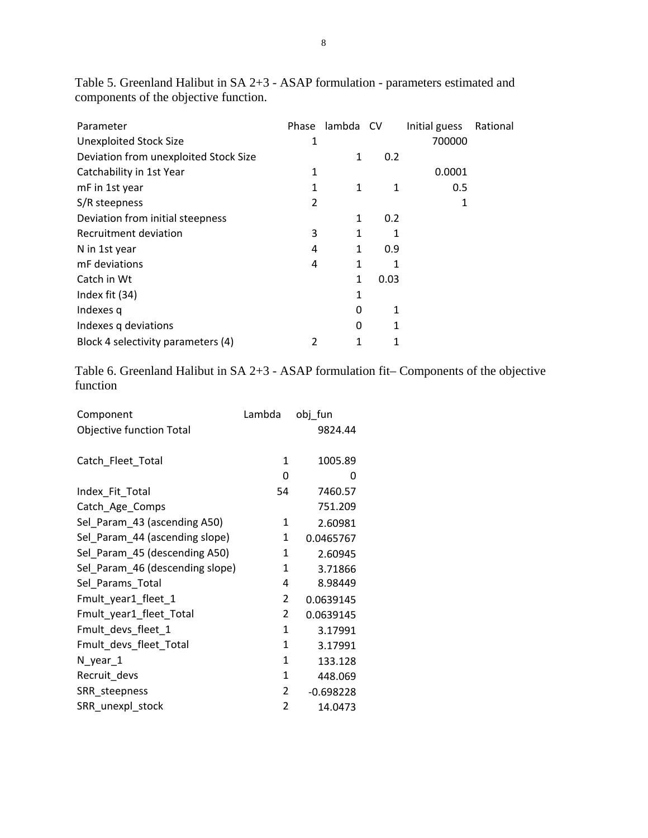| Parameter                             | Phase | lambda CV    |      | Initial guess | Rational |
|---------------------------------------|-------|--------------|------|---------------|----------|
| <b>Unexploited Stock Size</b>         | 1     |              |      | 700000        |          |
| Deviation from unexploited Stock Size |       | 1            | 0.2  |               |          |
| Catchability in 1st Year              | 1     |              |      | 0.0001        |          |
| mF in 1st year                        | 1     | 1            | 1    | 0.5           |          |
| S/R steepness                         | 2     |              |      | 1             |          |
| Deviation from initial steepness      |       | $\mathbf{1}$ | 0.2  |               |          |
| Recruitment deviation                 | 3     | 1            | 1    |               |          |
| N in 1st year                         | 4     | 1            | 0.9  |               |          |
| mF deviations                         | 4     | 1            | 1    |               |          |
| Catch in Wt                           |       | 1            | 0.03 |               |          |
| Index fit (34)                        |       | 1            |      |               |          |
| Indexes q                             |       | 0            | 1    |               |          |
| Indexes q deviations                  |       | 0            | 1    |               |          |
| Block 4 selectivity parameters (4)    | 2     | 1            | 1    |               |          |

Table 5. Greenland Halibut in SA 2+3 - ASAP formulation - parameters estimated and components of the objective function.

Table 6. Greenland Halibut in SA 2+3 - ASAP formulation fit– Components of the objective function

| Component                       | Lambda         | obj_fun     |
|---------------------------------|----------------|-------------|
| Objective function Total        |                | 9824.44     |
|                                 |                |             |
| Catch_Fleet_Total               | $\mathbf{1}$   | 1005.89     |
|                                 | 0              | 0           |
| Index_Fit_Total                 | 54             | 7460.57     |
| Catch_Age_Comps                 |                | 751.209     |
| Sel_Param_43 (ascending A50)    | 1              | 2.60981     |
| Sel Param 44 (ascending slope)  | $\mathbf{1}$   | 0.0465767   |
| Sel_Param_45 (descending A50)   | 1              | 2.60945     |
| Sel_Param_46 (descending slope) | 1              | 3.71866     |
| Sel_Params_Total                | 4              | 8.98449     |
| Fmult_year1_fleet_1             | 2              | 0.0639145   |
| Fmult_year1_fleet_Total         | 2              | 0.0639145   |
| Fmult_devs_fleet_1              | $\mathbf{1}$   | 3.17991     |
| Fmult_devs_fleet_Total          | $\mathbf{1}$   | 3.17991     |
| N_year_1                        | $\mathbf{1}$   | 133.128     |
| Recruit_devs                    | $\mathbf{1}$   | 448.069     |
| SRR_steepness                   | $\overline{2}$ | $-0.698228$ |
| SRR_unexpl_stock                | $\overline{2}$ | 14.0473     |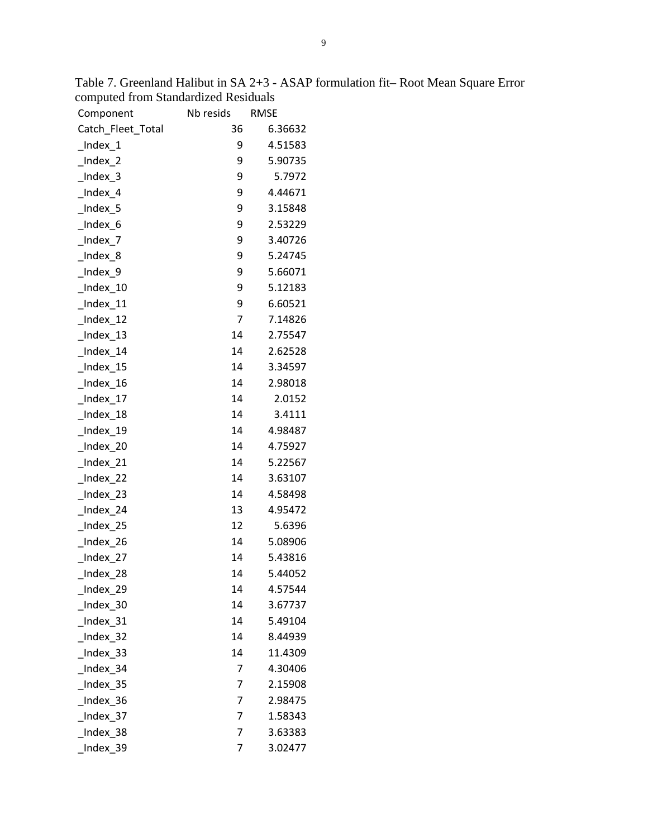Table 7. Greenland Halibut in SA 2+3 - ASAP formulation fit– Root Mean Square Error computed from Standardized Residuals

| Component          | Nb resids | <b>RMSE</b> |
|--------------------|-----------|-------------|
| Catch_Fleet_Total  | 36        | 6.36632     |
| Index $_1$         | 9         | 4.51583     |
| _Index_2           | 9         | 5.90735     |
| Index_3            | 9         | 5.7972      |
| _Index_4           | 9         | 4.44671     |
| _Index_5           | 9         | 3.15848     |
| Index_6            | 9         | 2.53229     |
| Index_7            | 9         | 3.40726     |
| _Index_8           | 9         | 5.24745     |
| _Index_9           | 9         | 5.66071     |
| Index $_10$        | 9         | 5.12183     |
| Index_11           | 9         | 6.60521     |
| Index 12           | 7         | 7.14826     |
| $Index_13$         | 14        | 2.75547     |
| $Index_14$         | 14        | 2.62528     |
| Index_15           | 14        | 3.34597     |
| Index $_1$ 16      | 14        | 2.98018     |
| Index_17           | 14        | 2.0152      |
| Index_18           | 14        | 3.4111      |
| $_$ lndex $_19$    | 14        | 4.98487     |
| $Index_20$         | 14        | 4.75927     |
| _Index_21          | 14        | 5.22567     |
| _Index_22          | 14        | 3.63107     |
| Index_23           | 14        | 4.58498     |
| $\_$ Index $\_$ 24 | 13        | 4.95472     |
| Index_25           | 12        | 5.6396      |
| Index_26           | 14        | 5.08906     |
| Index_27           | 14        | 5.43816     |
| $Index_28$         | 14        | 5.44052     |
| Index_29           | 14        | 4.57544     |
| Index_30           | 14        | 3.67737     |
| Index_31           | 14        | 5.49104     |
| Index_32           | 14        | 8.44939     |
| _Index_33          | 14        | 11.4309     |
| _Index_34          | 7         | 4.30406     |
| Index_35           | 7         | 2.15908     |
| Index_36           | 7         | 2.98475     |
| _Index_37          | 7         | 1.58343     |
| Index_38           | 7         | 3.63383     |
| Index 39           | 7         | 3.02477     |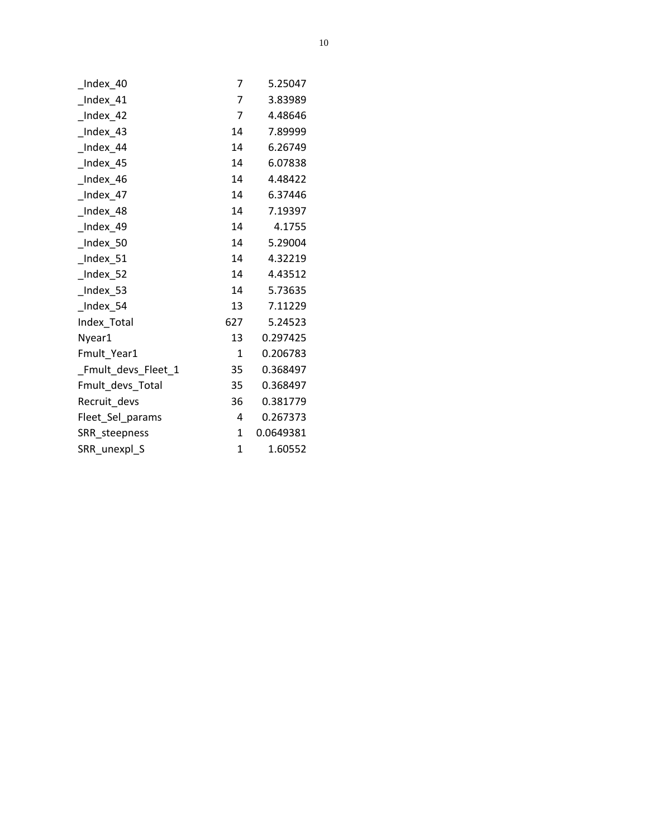| $\_$ Index $\_$ 40    | 7              | 5.25047   |
|-----------------------|----------------|-----------|
| $\_$ Index $\_41$     | 7              | 3.83989   |
| $\_$ Index $\_42$     | $\overline{7}$ | 4.48646   |
| $\_$ Index $\_43$     | 14             | 7.89999   |
| $\_$ Index $\_44$     | 14             | 6.26749   |
| $\_$ Index $\_45$     | 14             | 6.07838   |
| $\_$ Index $\_46$     | 14             | 4.48422   |
| $\_$ Index $\_47$     | 14             | 6.37446   |
| $_$ lndex $_48$       | 14             | 7.19397   |
| $\_$ Index $\_$ 49    | 14             | 4.1755    |
| $\_$ Index $\_50$     | 14             | 5.29004   |
| $\_$ Index $\_51$     | 14             | 4.32219   |
| $_$ Index $_52$       | 14             | 4.43512   |
| $_{\text{$ Index}_53} | 14             | 5.73635   |
| $_$ lndex $_54$       | 13             | 7.11229   |
| Index_Total           | 627            | 5.24523   |
| Nyear1                | 13             | 0.297425  |
| Fmult_Year1           | $\mathbf{1}$   | 0.206783  |
| _Fmult_devs_Fleet_1   | 35             | 0.368497  |
| Fmult_devs_Total      | 35             | 0.368497  |
| Recruit_devs          | 36             | 0.381779  |
| Fleet_Sel_params      | 4              | 0.267373  |
| SRR steepness         | 1              | 0.0649381 |
| SRR unexpl S          | $\mathbf 1$    | 1.60552   |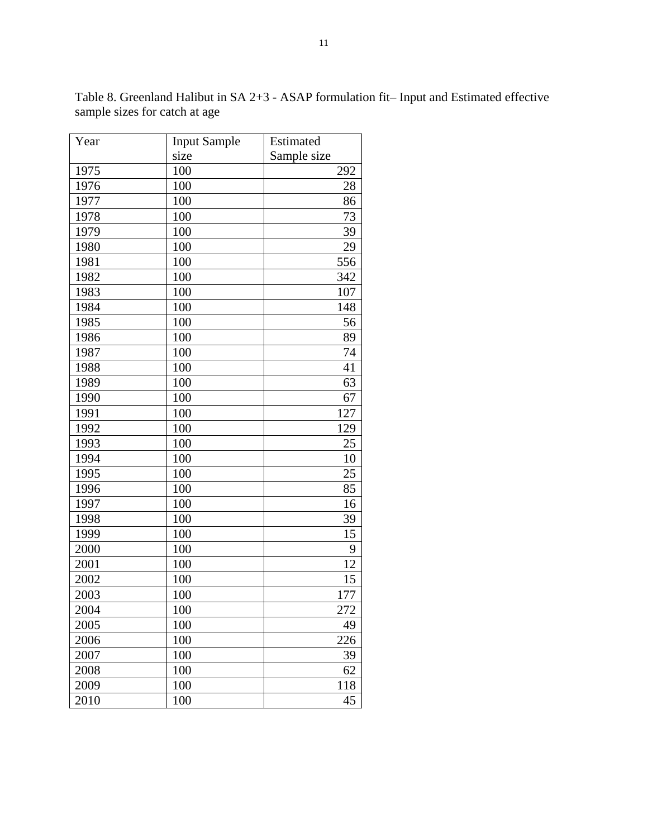| Year | <b>Input Sample</b> | Estimated   |
|------|---------------------|-------------|
|      | size                | Sample size |
| 1975 | 100                 | 292         |
| 1976 | 100                 | 28          |
| 1977 | 100                 | 86          |
| 1978 | 100                 | 73          |
| 1979 | 100                 | 39          |
| 1980 | 100                 | 29          |
| 1981 | 100                 | 556         |
| 1982 | 100                 | 342         |
| 1983 | 100                 | 107         |
| 1984 | 100                 | 148         |
| 1985 | 100                 | 56          |
| 1986 | 100                 | 89          |
| 1987 | 100                 | 74          |
| 1988 | 100                 | 41          |
| 1989 | 100                 | 63          |
| 1990 | 100                 | 67          |
| 1991 | 100                 | 127         |
| 1992 | 100                 | 129         |
| 1993 | 100                 | 25          |
| 1994 | 100                 | 10          |
| 1995 | 100                 | 25          |
| 1996 | 100                 | 85          |
| 1997 | 100                 | 16          |
| 1998 | 100                 | 39          |
| 1999 | 100                 | 15          |
| 2000 | 100                 | 9           |
| 2001 | 100                 | 12          |
| 2002 | 100                 | 15          |
| 2003 | 100                 | 177         |
| 2004 | 100                 | 272         |
| 2005 | 100                 | 49          |
| 2006 | 100                 | 226         |
| 2007 | 100                 | 39          |
| 2008 | 100                 | 62          |
| 2009 | 100                 | 118         |
| 2010 | 100                 | 45          |

Table 8. Greenland Halibut in SA 2+3 - ASAP formulation fit– Input and Estimated effective sample sizes for catch at age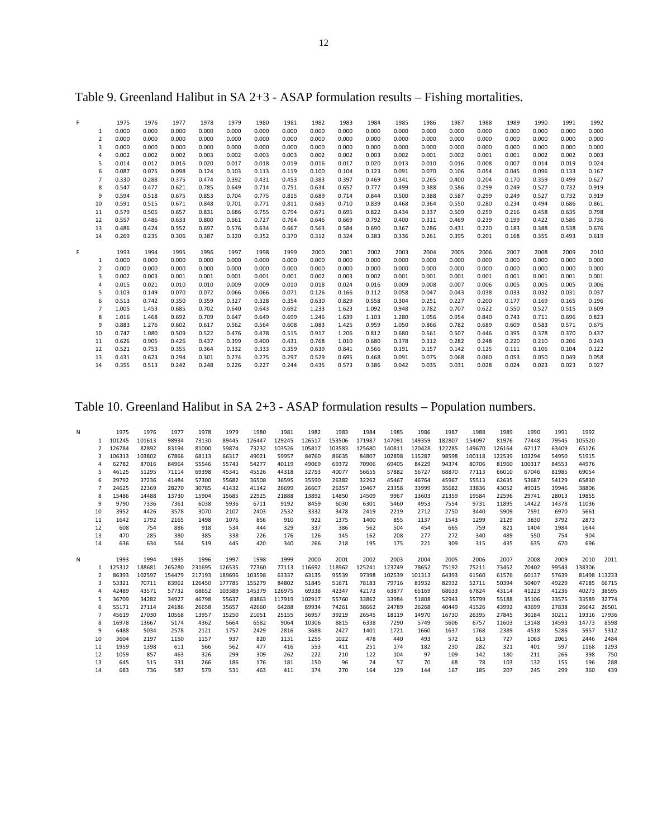| F |                | 1975           | 1976           | 1977           | 1978           | 1979           | 1980  | 1981           | 1982           | 1983           | 1984           | 1985           | 1986           | 1987           | 1988           | 1989           | 1990           | 1991           | 1992           |
|---|----------------|----------------|----------------|----------------|----------------|----------------|-------|----------------|----------------|----------------|----------------|----------------|----------------|----------------|----------------|----------------|----------------|----------------|----------------|
|   | 1              | 0.000          | 0.000          | 0.000          | 0.000          | 0.000          | 0.000 | 0.000          | 0.000          | 0.000          | 0.000          | 0.000          | 0.000          | 0.000          | 0.000          | 0.000          | 0.000          | 0.000          | 0.000          |
|   | $\overline{2}$ | 0.000          | 0.000          | 0.000          | 0.000          | 0.000          | 0.000 | 0.000          | 0.000          | 0.000          | 0.000          | 0.000          | 0.000          | 0.000          | 0.000          | 0.000          | 0.000          | 0.000          | 0.000          |
|   | 3              | 0.000          | 0.000          | 0.000          | 0.000          | 0.000          | 0.000 | 0.000          | 0.000          | 0.000          | 0.000          | 0.000          | 0.000          | 0.000          | 0.000          | 0.000          | 0.000          | 0.000          | 0.000          |
|   | 4              | 0.002          | 0.002          | 0.002          | 0.003          | 0.002          | 0.003 | 0.003          | 0.002          | 0.002          | 0.003          | 0.002          | 0.001          | 0.002          | 0.001          | 0.001          | 0.002          | 0.002          | 0.003          |
|   | 5              | 0.014          | 0.012          | 0.016          | 0.020          | 0.017          | 0.018 | 0.019          | 0.016          | 0.017          | 0.020          | 0.013          | 0.010          | 0.016          | 0.008          | 0.007          | 0.014          | 0.019          | 0.024          |
|   | 6              | 0.087          | 0.075          | 0.098          | 0.124          | 0.103          | 0.113 | 0.119          | 0.100          | 0.104          | 0.123          | 0.091          | 0.070          | 0.106          | 0.054          | 0.045          | 0.096          | 0.133          | 0.167          |
|   | $\overline{7}$ | 0.330          | 0.288          | 0.375          | 0.474          | 0.392          | 0.431 | 0.453          | 0.383          | 0.397          | 0.469          | 0.341          | 0.265          | 0.400          | 0.204          | 0.170          | 0.359          | 0.499          | 0.627          |
|   | 8              | 0.547          | 0.477          | 0.621          | 0.785          | 0.649          | 0.714 | 0.751          | 0.634          | 0.657          | 0.777          | 0.499          | 0.388          | 0.586          | 0.299          | 0.249          | 0.527          | 0.732          | 0.919          |
|   | 9              | 0.594          | 0.518          | 0.675          | 0.853          | 0.704          | 0.775 | 0.815          | 0.689          | 0.714          | 0.844          | 0.500          | 0.388          | 0.587          | 0.299          | 0.249          | 0.527          | 0.732          | 0.919          |
|   | 10             | 0.591          | 0.515          | 0.671          | 0.848          | 0.701          | 0.771 | 0.811          | 0.685          | 0.710          | 0.839          | 0.468          | 0.364          | 0.550          | 0.280          | 0.234          | 0.494          | 0.686          | 0.861          |
|   | 11             | 0.579          | 0.505          | 0.657          | 0.831          | 0.686          | 0.755 | 0.794          | 0.671          | 0.695          | 0.822          | 0.434          | 0.337          | 0.509          | 0.259          | 0.216          | 0.458          | 0.635          | 0.798          |
|   | 12             | 0.557          | 0.486          | 0.633          | 0.800          | 0.661          | 0.727 | 0.764          | 0.646          | 0.669          | 0.792          | 0.400          | 0.311          | 0.469          | 0.239          | 0.199          | 0.422          | 0.586          | 0.736          |
|   | 13             | 0.486          | 0.424          | 0.552          | 0.697          | 0.576          | 0.634 | 0.667          | 0.563          | 0.584          | 0.690          | 0.367          | 0.286          | 0.431          | 0.220          | 0.183          | 0.388          | 0.538          | 0.676          |
|   | 14             | 0.269          | 0.235          | 0.306          | 0.387          | 0.320          | 0.352 | 0.370          | 0.312          | 0.324          | 0.383          | 0.336          | 0.261          | 0.395          | 0.201          | 0.168          | 0.355          | 0.493          | 0.619          |
|   |                |                |                |                |                |                |       |                |                |                |                |                |                |                |                |                |                |                |                |
| F |                | 1993           | 1994           | 1995           | 1996           | 1997           | 1998  | 1999           | 2000           | 2001           | 2002           | 2003           | 2004           | 2005           | 2006           | 2007           | 2008           | 2009           | 2010           |
|   | 1              | 0.000          | 0.000          | 0.000          | 0.000          | 0.000          | 0.000 | 0.000          | 0.000          | 0.000          | 0.000          | 0.000          | 0.000          | 0.000          | 0.000          | 0.000          | 0.000          | 0.000          | 0.000          |
|   | $\overline{2}$ | 0.000          | 0.000          | 0.000          | 0.000          | 0.000          | 0.000 | 0.000          | 0.000          | 0.000          | 0.000          | 0.000          | 0.000          | 0.000          | 0.000          | 0.000          | 0.000          | 0.000          | 0.000          |
|   | 3              | 0.002          | 0.003          | 0.001          | 0.001          | 0.001          | 0.001 | 0.001          | 0.002          | 0.003          | 0.002          | 0.001          | 0.001          | 0.001          | 0.001          | 0.001          | 0.001          | 0.001          | 0.001          |
|   | 4              | 0.015          | 0.021          | 0.010          | 0.010          | 0.009          | 0.009 | 0.010          | 0.018          | 0.024          | 0.016          | 0.009          | 0.008          | 0.007          | 0.006          | 0.005          | 0.005          | 0.005          | 0.006          |
|   | 5              | 0.103          | 0.149          | 0.070          | 0.072          | 0.066          | 0.066 | 0.071          | 0.126          | 0.166          | 0.112          | 0.058          | 0.047          | 0.043          | 0.038          | 0.033          | 0.032          | 0.031          | 0.037          |
|   | 6              | 0.513          | 0.742          | 0.350          | 0.359          | 0.327          | 0.328 | 0.354          | 0.630          | 0.829          | 0.558          | 0.304          | 0.251          | 0.227          | 0.200          | 0.177          | 0.169          | 0.165          | 0.196          |
|   | 7              | 1.005          | 1.453          | 0.685          | 0.702          | 0.640          | 0.643 | 0.692          | 1.233          | 1.623          | 1.092          | 0.948          | 0.782          | 0.707          | 0.622          | 0.550          | 0.527          | 0.515          | 0.609          |
|   | 8<br>9         | 1.016          | 1.468          | 0.692          | 0.709          | 0.647          | 0.649 | 0.699          | 1.246          | 1.639          | 1.103          | 1.280          | 1.056          | 0.954          | 0.840          | 0.743          | 0.711          | 0.696          | 0.823          |
|   |                | 0.883          | 1.276          | 0.602          | 0.617          | 0.562          | 0.564 | 0.608          | 1.083          | 1.425          | 0.959          | 1.050          | 0.866          | 0.782          | 0.689          | 0.609          | 0.583          | 0.571          | 0.675          |
|   | 10             | 0.747          | 1.080          | 0.509          | 0.522          | 0.476          | 0.478 | 0.515          | 0.917          | 1.206          | 0.812          | 0.680          | 0.561          | 0.507          | 0.446          | 0.395          | 0.378          | 0.370          | 0.437<br>0.243 |
|   | 11             | 0.626          | 0.905          | 0.426          | 0.437          | 0.399          | 0.400 | 0.431          | 0.768          | 1.010          | 0.680          | 0.378          | 0.312          | 0.282          | 0.248          | 0.220          | 0.210          | 0.206          |                |
|   | 12<br>13       | 0.521          | 0.753          | 0.355          | 0.364          | 0.332          | 0.333 | 0.359          | 0.639          | 0.841          | 0.566          | 0.191          | 0.157          | 0.142          | 0.125          | 0.111          | 0.106          | 0.104          | 0.122          |
|   | 14             | 0.431<br>0.355 | 0.623<br>0.513 | 0.294<br>0.242 | 0.301<br>0.248 | 0.274<br>0.226 | 0.275 | 0.297<br>0.244 | 0.529<br>0.435 | 0.695<br>0.573 | 0.468<br>0.386 | 0.091<br>0.042 | 0.075<br>0.035 | 0.068<br>0.031 | 0.060<br>0.028 | 0.053<br>0.024 | 0.050<br>0.023 | 0.049<br>0.023 | 0.058<br>0.027 |
|   |                |                |                |                |                |                | 0.227 |                |                |                |                |                |                |                |                |                |                |                |                |
|   |                |                |                |                |                |                |       |                |                |                |                |                |                |                |                |                |                |                |                |

Table 9. Greenland Halibut in SA 2+3 - ASAP formulation results – Fishing mortalities.

Table 10. Greenland Halibut in SA 2+3 - ASAP formulation results – Population numbers.

| N |                | 1975   | 1976   | 1977   | 1978   | 1979   | 1980   | 1981   | 1982   | 1983   | 1984   | 1985   | 1986   | 1987   | 1988   | 1989   | 1990   | 1991  | 1992         |       |
|---|----------------|--------|--------|--------|--------|--------|--------|--------|--------|--------|--------|--------|--------|--------|--------|--------|--------|-------|--------------|-------|
|   | 1              | 101245 | 101613 | 98934  | 73130  | 89445  | 126447 | 129245 | 126517 | 153506 | 171987 | 147091 | 149359 | 182807 | 154097 | 81976  | 77448  | 79545 | 105520       |       |
|   | $\overline{2}$ | 126784 | 82892  | 83194  | 81000  | 59874  | 73232  | 103526 | 105817 | 103583 | 125680 | 140811 | 120428 | 122285 | 149670 | 126164 | 67117  | 63409 | 65126        |       |
|   | 3              | 106313 | 103802 | 67866  | 68113  | 66317  | 49021  | 59957  | 84760  | 86635  | 84807  | 102898 | 115287 | 98598  | 100118 | 122539 | 103294 | 54950 | 51915        |       |
|   | Δ              | 62782  | 87016  | 84964  | 55546  | 55743  | 54277  | 40119  | 49069  | 69372  | 70906  | 69405  | 84229  | 94374  | 80706  | 81960  | 100317 | 84553 | 44976        |       |
|   |                | 46125  | 51295  | 71114  | 69398  | 45341  | 45526  | 44318  | 32753  | 40077  | 56655  | 57882  | 56727  | 68870  | 77113  | 66010  | 67046  | 81985 | 69054        |       |
|   | 6              | 29792  | 37236  | 41484  | 57300  | 55682  | 36508  | 36595  | 35590  | 26382  | 32262  | 45467  | 46764  | 45967  | 55513  | 62635  | 53687  | 54129 | 65830        |       |
|   | $\overline{ }$ | 24625  | 22369  | 28270  | 30785  | 41432  | 41142  | 26699  | 26607  | 26357  | 19467  | 23358  | 33999  | 35682  | 33836  | 43052  | 49015  | 39946 | 38806        |       |
|   | 8              | 15486  | 14488  | 13730  | 15904  | 15685  | 22925  | 21888  | 13892  | 14850  | 14509  | 9967   | 13603  | 21359  | 19584  | 22596  | 29741  | 28013 | 19855        |       |
|   | 9              | 9790   | 7336   | 7361   | 6038   | 5936   | 6711   | 9192   | 8459   | 6030   | 6301   | 5460   | 4953   | 7554   | 9731   | 11895  | 14422  | 14378 | 11036        |       |
|   | 10             | 3952   | 4426   | 3578   | 3070   | 2107   | 2403   | 2532   | 3332   | 3478   | 2419   | 2219   | 2712   | 2750   | 3440   | 5909   | 7591   | 6970  | 5661         |       |
|   | 11             | 1642   | 1792   | 2165   | 1498   | 1076   | 856    | 910    | 922    | 1375   | 1400   | 855    | 1137   | 1543   | 1299   | 2129   | 3830   | 3792  | 2873         |       |
|   | 12             | 608    | 754    | 886    | 918    | 534    | 444    | 329    | 337    | 386    | 562    | 504    | 454    | 665    | 759    | 821    | 1404   | 1984  | 1644         |       |
|   | 13             | 470    | 285    | 380    | 385    | 338    | 226    | 176    | 126    | 145    | 162    | 208    | 277    | 272    | 340    | 489    | 550    | 754   | 904          |       |
|   | 14             | 636    | 634    | 564    | 519    | 445    | 420    | 340    | 266    | 218    | 195    | 175    | 221    | 309    | 315    | 435    | 635    | 670   | 696          |       |
|   |                |        |        |        |        |        |        |        |        |        |        |        |        |        |        |        |        |       |              |       |
| N |                | 1993   | 1994   | 1995   | 1996   | 1997   | 1998   | 1999   | 2000   | 2001   | 2002   | 2003   | 2004   | 2005   | 2006   | 2007   | 2008   | 2009  | 2010         | 2011  |
|   | $\mathbf{1}$   | 125312 | 188681 | 265280 | 231695 | 126535 | 77360  | 77113  | 116692 | 118962 | 125241 | 123749 | 78652  | 75192  | 75211  | 73452  | 70402  | 99543 | 138306       |       |
|   | $\overline{2}$ | 86393  | 102597 | 154479 | 217193 | 189696 | 103598 | 63337  | 63135  | 95539  | 97398  | 102539 | 101313 | 64393  | 61560  | 61576  | 60137  | 57639 | 81498 113233 |       |
|   | 3              | 53321  | 70711  | 83962  | 126450 | 177785 | 155279 | 84802  | 51845  | 51671  | 78183  | 79716  | 83932  | 82932  | 52711  | 50394  | 50407  | 49229 | 47185        | 66715 |
|   | Δ              | 42489  | 43571  | 57732  | 68652  | 103389 | 145379 | 126975 | 69338  | 42347  | 42173  | 63877  | 65169  | 68633  | 67824  | 43114  | 41223  | 41236 | 40273        | 38595 |
|   | 5              | 36709  | 34282  | 34927  | 46798  | 55637  | 83863  | 117919 | 102917 | 55760  | 33862  | 33984  | 51808  | 52943  | 55799  | 55188  | 35106  | 33575 | 33589        | 32774 |
|   | 6              | 55171  | 27114  | 24186  | 26658  | 35657  | 42660  | 64288  | 89934  | 74261  | 38662  | 24789  | 26268  | 40449  | 41526  | 43992  | 43699  | 27838 | 26642        | 26501 |
|   |                | 45619  | 27030  | 10568  | 13957  | 15250  | 21051  | 25155  | 36957  | 39219  | 26545  | 18119  | 14970  | 16730  | 26395  | 27845  | 30184  | 30211 | 19316        | 17936 |
|   | 8              | 16978  | 13667  | 5174   | 4362   | 5664   | 6582   | 9064   | 10306  | 8815   | 6338   | 7290   | 5749   | 5606   | 6757   | 11603  | 13148  | 14593 | 14773        | 8598  |
|   | 9              | 6488   | 5034   | 2578   | 2121   | 1757   | 2429   | 2816   | 3688   | 2427   | 1401   | 1721   | 1660   | 1637   | 1768   | 2389   | 4518   | 5286  | 5957         | 5312  |
|   | 10             | 3604   | 2197   | 1150   | 1157   | 937    | 820    | 1131   | 1255   | 1022   | 478    | 440    | 493    | 572    | 613    | 727    | 1063   | 2065  | 2446         | 2484  |
|   | 11             | 1959   | 1398   | 611    | 566    | 562    | 477    | 416    | 553    | 411    | 251    | 174    | 182    | 230    | 282    | 321    | 401    | 597   | 1168         | 1293  |
|   | 12             | 1059   | 857    | 463    | 326    | 299    | 309    | 262    | 222    | 210    | 122    | 104    | 97     | 109    | 142    | 180    | 211    | 266   | 398          | 750   |
|   | 13             | 645    | 515    | 331    | 266    | 186    | 176    | 181    | 150    | 96     | 74     | 57     | 70     | 68     | 78     | 103    | 132    | 155   | 196          | 288   |
|   | 14             | 683    | 736    | 587    | 579    | 531    | 463    | 411    | 374    | 270    | 164    | 129    | 144    | 167    | 185    | 207    | 245    | 299   | 360          | 439   |
|   |                |        |        |        |        |        |        |        |        |        |        |        |        |        |        |        |        |       |              |       |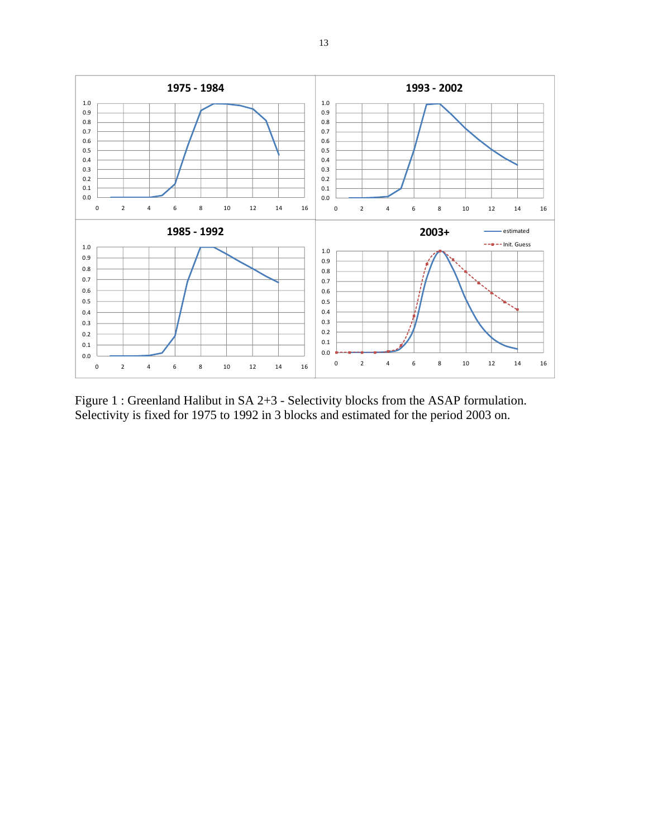

Figure 1 : Greenland Halibut in SA 2+3 - Selectivity blocks from the ASAP formulation. Selectivity is fixed for 1975 to 1992 in 3 blocks and estimated for the period 2003 on.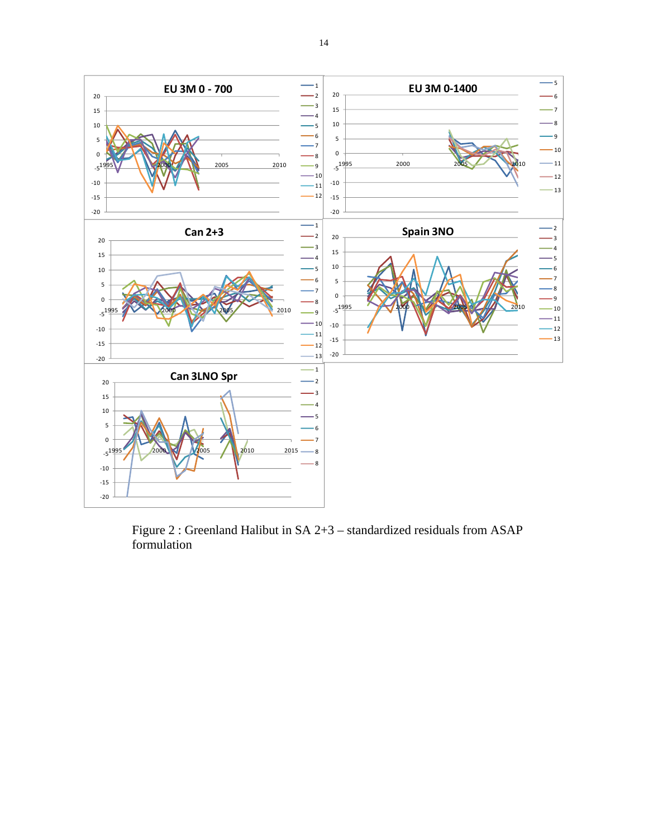

Figure 2 : Greenland Halibut in SA 2+3 – standardized residuals from ASAP formulation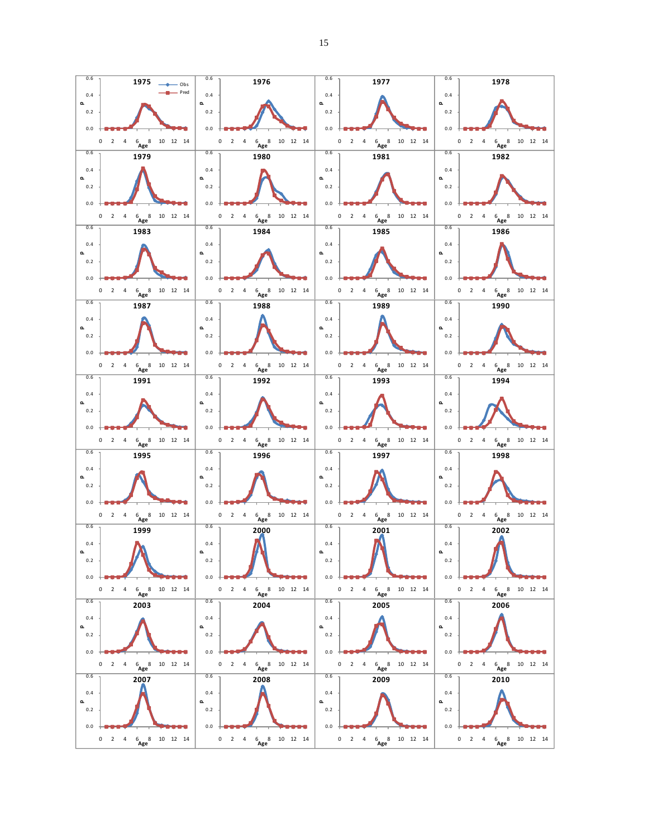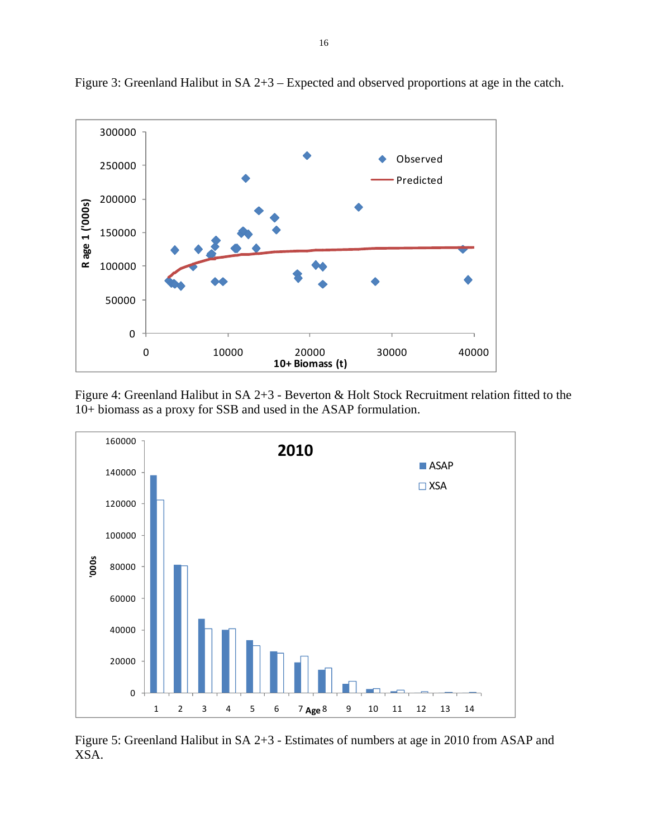

Figure 3: Greenland Halibut in SA 2+3 – Expected and observed proportions at age in the catch.

Figure 4: Greenland Halibut in SA 2+3 - Beverton & Holt Stock Recruitment relation fitted to the 10+ biomass as a proxy for SSB and used in the ASAP formulation.



Figure 5: Greenland Halibut in SA 2+3 - Estimates of numbers at age in 2010 from ASAP and XSA.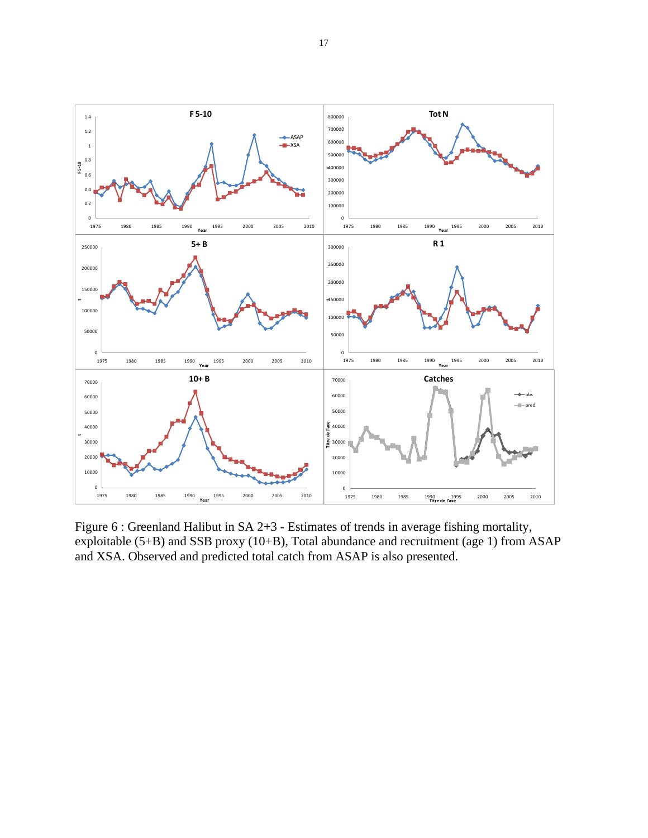

Figure 6 : Greenland Halibut in SA 2+3 - Estimates of trends in average fishing mortality, exploitable (5+B) and SSB proxy (10+B), Total abundance and recruitment (age 1) from ASAP and XSA. Observed and predicted total catch from ASAP is also presented.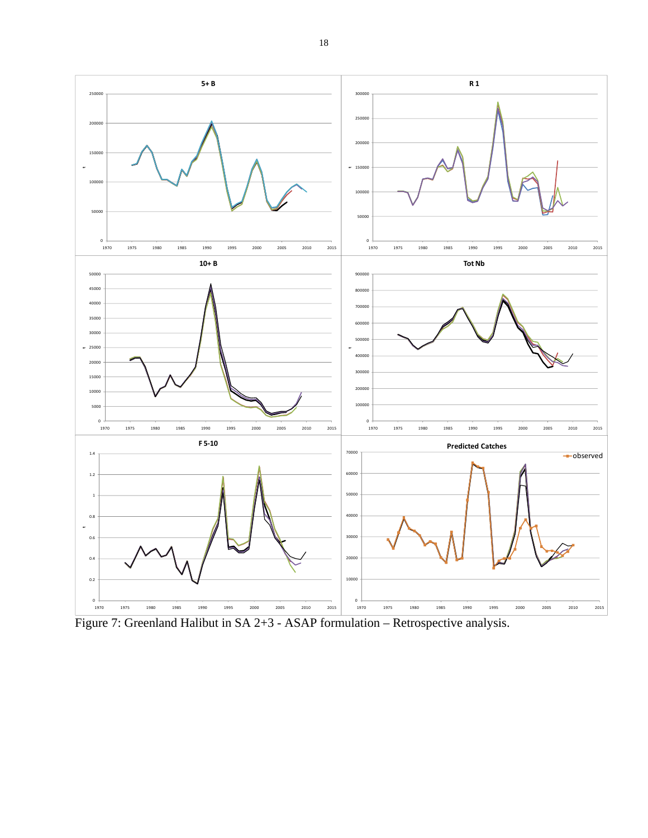

Figure 7: Greenland Halibut in SA 2+3 - ASAP formulation – Retrospective analysis.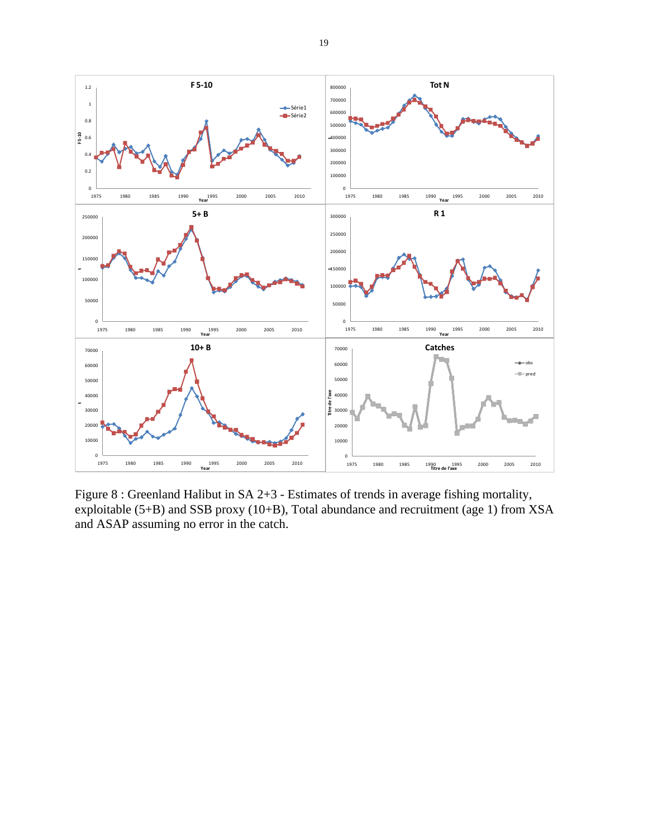

Figure 8 : Greenland Halibut in SA 2+3 - Estimates of trends in average fishing mortality, exploitable (5+B) and SSB proxy (10+B), Total abundance and recruitment (age 1) from XSA and ASAP assuming no error in the catch.